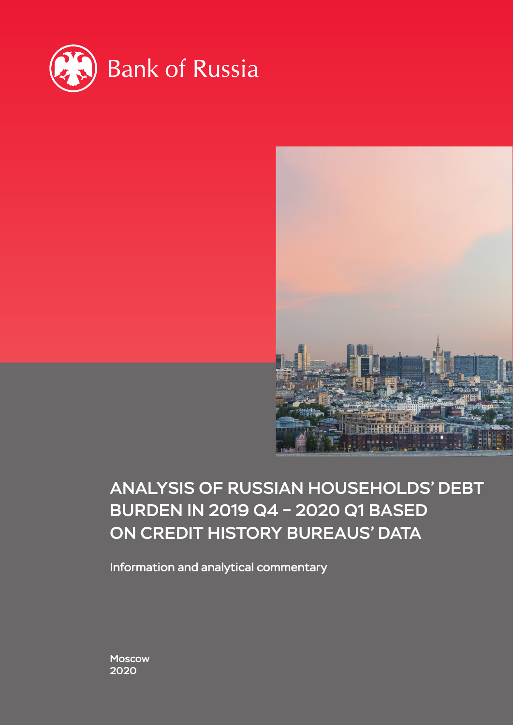



# ANALYSIS OF RUSSIAN HOUSEHOLDS' DEBT BURDEN IN 2019 Q4 – 2020 Q1 BASED ON CREDIT HISTORY BUREAUS' DATA

Information and analytical commentary

Moscow 2020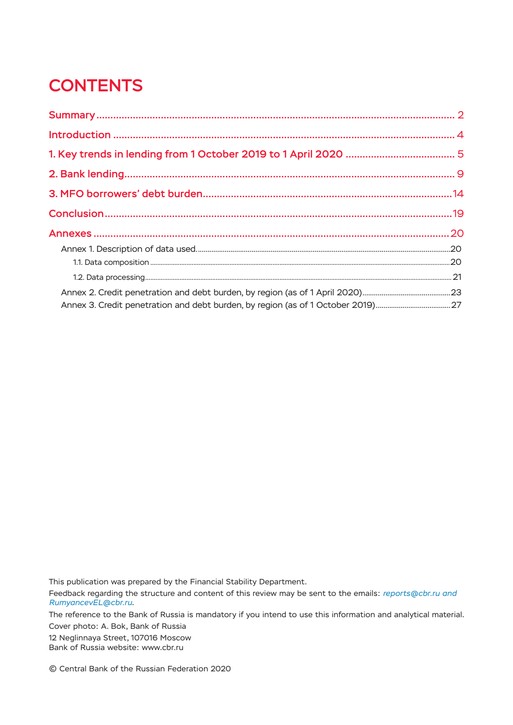# **CONTENTS**

This publication was prepared by the Financial Stability Department.

Feedback regarding the structure and content of this review may be sent to the emails: *reports@cbr.ru and RumyancevEL@cbr.ru*.

The reference to the Bank of Russia is mandatory if you intend to use this information and analytical material. Cover photo: A. Bok, Bank of Russia

12 Neglinnaya Street, 107016 Moscow Bank of Russia website: www.cbr.ru

© Central Bank of the Russian Federation 2020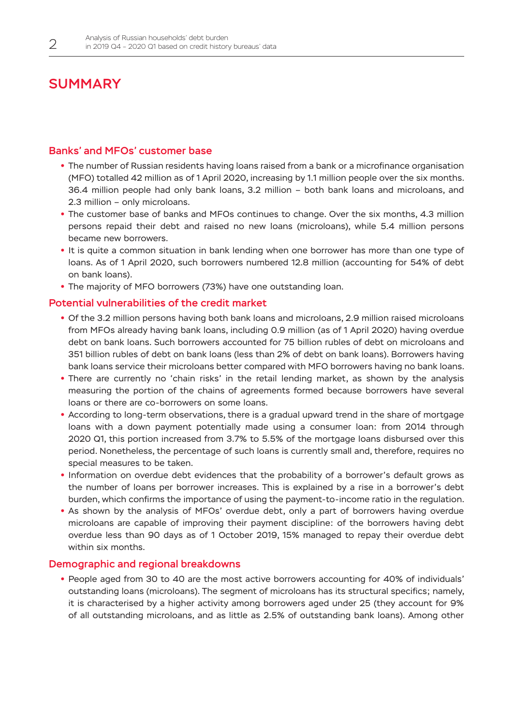## <span id="page-2-0"></span>**SUMMARY**

## Banks' and MFOs' customer base

- The number of Russian residents having loans raised from a bank or a microfinance organisation (MFO) totalled 42 million as of 1 April 2020, increasing by 1.1 million people over the six months. 36.4 million people had only bank loans, 3.2 million – both bank loans and microloans, and 2.3 million – only microloans.
- The customer base of banks and MFOs continues to change. Over the six months, 4.3 million persons repaid their debt and raised no new loans (microloans), while 5.4 million persons became new borrowers.
- **•**  It is quite a common situation in bank lending when one borrower has more than one type of loans. As of 1 April 2020, such borrowers numbered 12.8 million (accounting for 54% of debt on bank loans).
- The majority of MFO borrowers (73%) have one outstanding loan.

## Potential vulnerabilities of the credit market

- **•**  Of the 3.2 million persons having both bank loans and microloans, 2.9 million raised microloans from MFOs already having bank loans, including 0.9 million (as of 1 April 2020) having overdue debt on bank loans. Such borrowers accounted for 75 billion rubles of debt on microloans and 351 billion rubles of debt on bank loans (less than 2% of debt on bank loans). Borrowers having bank loans service their microloans better compared with MFO borrowers having no bank loans.
- **•**  There are currently no 'chain risks' in the retail lending market, as shown by the analysis measuring the portion of the chains of agreements formed because borrowers have several loans or there are co-borrowers on some loans.
- **•**  According to long-term observations, there is a gradual upward trend in the share of mortgage loans with a down payment potentially made using a consumer loan: from 2014 through 2020 Q1, this portion increased from 3.7% to 5.5% of the mortgage loans disbursed over this period. Nonetheless, the percentage of such loans is currently small and, therefore, requires no special measures to be taken.
- **•**  Information on overdue debt evidences that the probability of a borrower's default grows as the number of loans per borrower increases. This is explained by a rise in a borrower's debt burden, which confirms the importance of using the payment-to-income ratio in the regulation.
- **•**  As shown by the analysis of MFOs' overdue debt, only a part of borrowers having overdue microloans are capable of improving their payment discipline: of the borrowers having debt overdue less than 90 days as of 1 October 2019, 15% managed to repay their overdue debt within six months.

## Demographic and regional breakdowns

**•**  People aged from 30 to 40 are the most active borrowers accounting for 40% of individuals' outstanding loans (microloans). The segment of microloans has its structural specifics; namely, it is characterised by a higher activity among borrowers aged under 25 (they account for 9% of all outstanding microloans, and as little as 2.5% of outstanding bank loans). Among other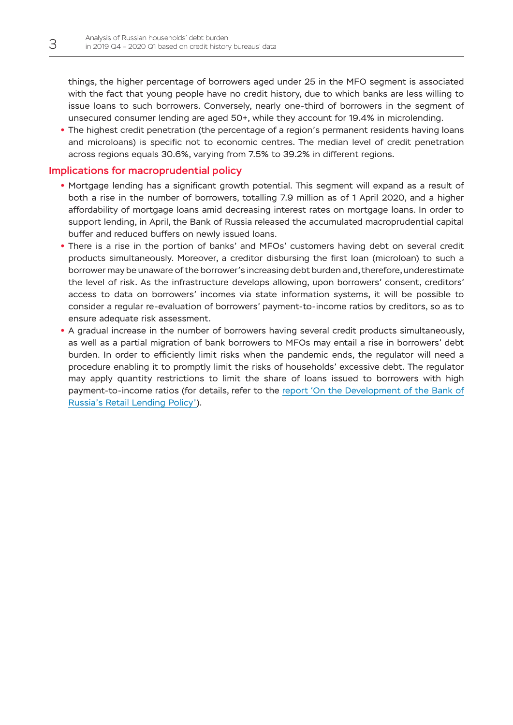things, the higher percentage of borrowers aged under 25 in the MFO segment is associated with the fact that young people have no credit history, due to which banks are less willing to issue loans to such borrowers. Conversely, nearly one-third of borrowers in the segment of unsecured consumer lending are aged 50+, while they account for 19.4% in microlending.

• The highest credit penetration (the percentage of a region's permanent residents having loans and microloans) is specific not to economic centres. The median level of credit penetration across regions equals 30.6%, varying from 7.5% to 39.2% in different regions.

## Implications for macroprudential policy

- **•**  Mortgage lending has a significant growth potential. This segment will expand as a result of both a rise in the number of borrowers, totalling 7.9 million as of 1 April 2020, and a higher affordability of mortgage loans amid decreasing interest rates on mortgage loans. In order to support lending, in April, the Bank of Russia released the accumulated macroprudential capital buffer and reduced buffers on newly issued loans.
- **•**  There is a rise in the portion of banks' and MFOs' customers having debt on several credit products simultaneously. Moreover, a creditor disbursing the first loan (microloan) to such a borrower may be unaware of the borrower's increasing debt burden and, therefore, underestimate the level of risk. As the infrastructure develops allowing, upon borrowers' consent, creditors' access to data on borrowers' incomes via state information systems, it will be possible to consider a regular re-evaluation of borrowers' payment-to-income ratios by creditors, so as to ensure adequate risk assessment.
- A gradual increase in the number of borrowers having several credit products simultaneously, as well as a partial migration of bank borrowers to MFOs may entail a rise in borrowers' debt burden. In order to efficiently limit risks when the pandemic ends, the regulator will need a procedure enabling it to promptly limit the risks of households' excessive debt. The regulator may apply quantity restrictions to limit the share of loans issued to borrowers with high payment-to-income ratios (for details, refer to the [report 'On the Development of the Bank of](http://www.cbr.ru/Content/Document/File/79964/Consultation_Paper_190910.pdf)  [Russia's Retail Lending Policy'](http://www.cbr.ru/Content/Document/File/79964/Consultation_Paper_190910.pdf)).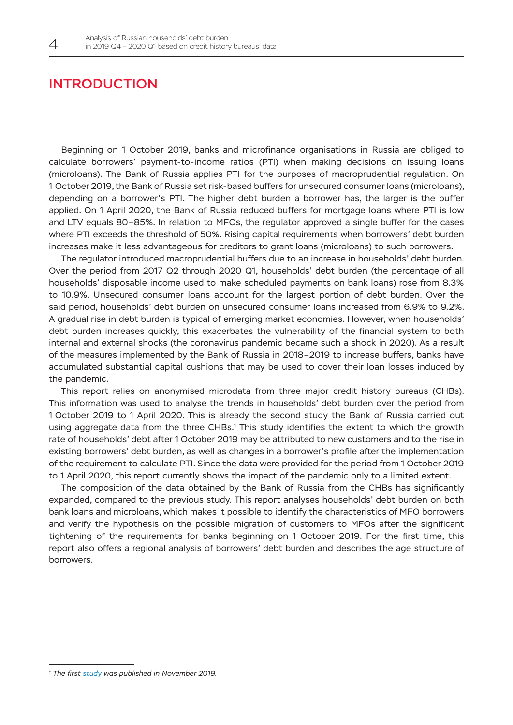## <span id="page-4-0"></span>INTRODUCTION

Beginning on 1 October 2019, banks and microfinance organisations in Russia are obliged to calculate borrowers' payment-to-income ratios (PTI) when making decisions on issuing loans (microloans). The Bank of Russia applies PTI for the purposes of macroprudential regulation. On 1 October 2019, the Bank of Russia set risk-based buffers for unsecured consumer loans (microloans), depending on a borrower's PTI. The higher debt burden a borrower has, the larger is the buffer applied. On 1 April 2020, the Bank of Russia reduced buffers for mortgage loans where PTI is low and LTV equals 80–85%. In relation to MFOs, the regulator approved a single buffer for the cases where PTI exceeds the threshold of 50%. Rising capital requirements when borrowers' debt burden increases make it less advantageous for creditors to grant loans (microloans) to such borrowers.

The regulator introduced macroprudential buffers due to an increase in households' debt burden. Over the period from 2017 Q2 through 2020 Q1, households' debt burden (the percentage of all households' disposable income used to make scheduled payments on bank loans) rose from 8.3% to 10.9%. Unsecured consumer loans account for the largest portion of debt burden. Over the said period, households' debt burden on unsecured consumer loans increased from 6.9% to 9.2%. A gradual rise in debt burden is typical of emerging market economies. However, when households' debt burden increases quickly, this exacerbates the vulnerability of the financial system to both internal and external shocks (the coronavirus pandemic became such a shock in 2020). As a result of the measures implemented by the Bank of Russia in 2018–2019 to increase buffers, banks have accumulated substantial capital cushions that may be used to cover their loan losses induced by the pandemic.

This report relies on anonymised microdata from three major credit history bureaus (CHBs). This information was used to analyse the trends in households' debt burden over the period from 1 October 2019 to 1 April 2020. This is already the second study the Bank of Russia carried out using aggregate data from the three CHBs.<sup>1</sup> This study identifies the extent to which the growth rate of households' debt after 1 October 2019 may be attributed to new customers and to the rise in existing borrowers' debt burden, as well as changes in a borrower's profile after the implementation of the requirement to calculate PTI. Since the data were provided for the period from 1 October 2019 to 1 April 2020, this report currently shows the impact of the pandemic only to a limited extent.

The composition of the data obtained by the Bank of Russia from the CHBs has significantly expanded, compared to the previous study. This report analyses households' debt burden on both bank loans and microloans, which makes it possible to identify the characteristics of MFO borrowers and verify the hypothesis on the possible migration of customers to MFOs after the significant tightening of the requirements for banks beginning on 1 October 2019. For the first time, this report also offers a regional analysis of borrowers' debt burden and describes the age structure of borrowers.

*<sup>1</sup> The first [study](http://www.cbr.ru/content/document/file/85889/20191101_dfs.pdf) was published in November 2019.*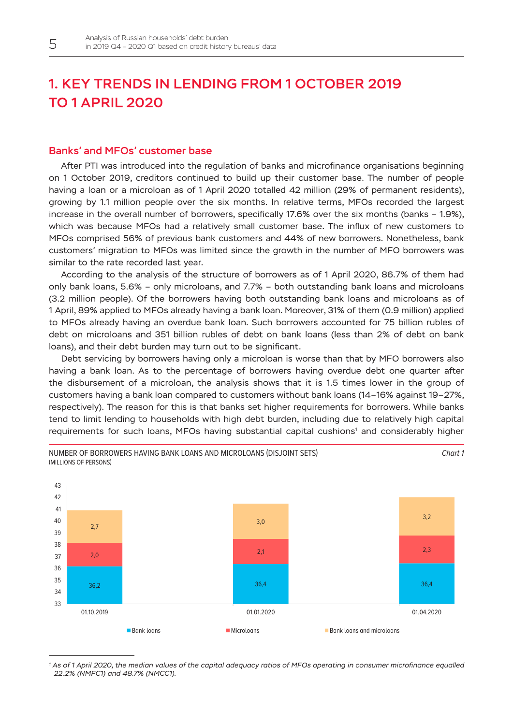## <span id="page-5-0"></span>1. KEY TRENDS IN LENDING FROM 1 OCTOBER 2019 TO 1 APRIL 2020

### Banks' and MFOs' customer base

After PTI was introduced into the regulation of banks and microfinance organisations beginning on 1 October 2019, creditors continued to build up their customer base. The number of people having a loan or a microloan as of 1 April 2020 totalled 42 million (29% of permanent residents), growing by 1.1 million people over the six months. In relative terms, MFOs recorded the largest increase in the overall number of borrowers, specifically 17.6% over the six months (banks – 1.9%), which was because MFOs had a relatively small customer base. The influx of new customers to MFOs comprised 56% of previous bank customers and 44% of new borrowers. Nonetheless, bank customers' migration to MFOs was limited since the growth in the number of MFO borrowers was similar to the rate recorded last year.

According to the analysis of the structure of borrowers as of 1 April 2020, 86.7% of them had only bank loans, 5.6% – only microloans, and 7.7% – both outstanding bank loans and microloans (3.2 million people). Of the borrowers having both outstanding bank loans and microloans as of 1 April, 89% applied to MFOs already having a bank loan. Moreover, 31% of them (0.9 million) applied to MFOs already having an overdue bank loan. Such borrowers accounted for 75 billion rubles of debt on microloans and 351 billion rubles of debt on bank loans (less than 2% of debt on bank loans), and their debt burden may turn out to be significant.

Debt servicing by borrowers having only a microloan is worse than that by MFO borrowers also having a bank loan. As to the percentage of borrowers having overdue debt one quarter after the disbursement of a microloan, the analysis shows that it is 1.5 times lower in the group of customers having a bank loan compared to customers without bank loans (14–16% against 19–27%, respectively). The reason for this is that banks set higher requirements for borrowers. While banks tend to limit lending to households with high debt burden, including due to relatively high capital requirements for such loans, MFOs having substantial capital cushions<sup>1</sup> and considerably higher

*Chart 1*



NUMBER OF BORROWERS HAVING BANK LOANS AND MICROLOANS (DISJOINT SETS) (MILLIONS OF PERSONS)

*<sup>1</sup> As of 1 April 2020, the median values of the capital adequacy ratios of MFOs operating in consumer microfinance equalled 22.2% (NMFC1) and 48.7% (NMCC1).*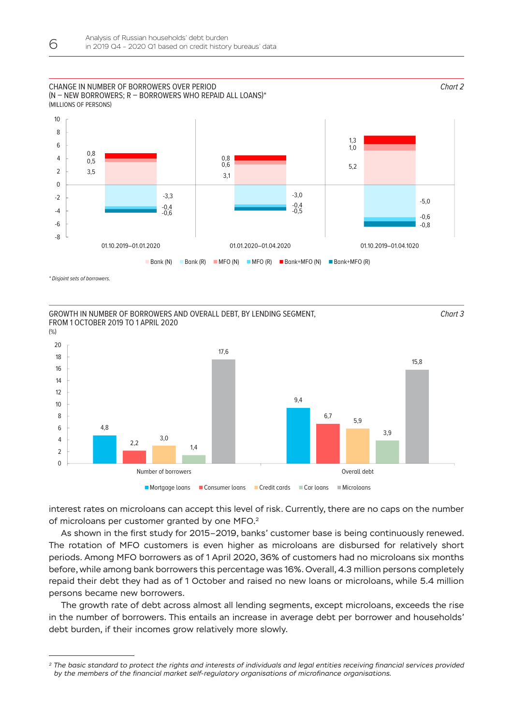#### CHANGE IN NUMBER OF BORROWERS OVER PERIOD (N – NEW BORROWERS; R – BORROWERS WHO REPAID ALL LOANS)\* (MILLIONS OF PERSONS)



*Chart 2*

*Chart 3*

*\* Disjoint sets of borrowers.*

GROWTH IN NUMBER OF BORROWERS AND OVERALL DEBT, BY LENDING SEGMENT, FROM 1 OCTOBER 2019 TO 1 APRIL 2020



interest rates on microloans can accept this level of risk. Currently, there are no caps on the number of microloans per customer granted by one MFO.2

As shown in the first study for 2015–2019, banks' customer base is being continuously renewed. The rotation of MFO customers is even higher as microloans are disbursed for relatively short periods. Among MFO borrowers as of 1 April 2020, 36% of customers had no microloans six months before, while among bank borrowers this percentage was 16%. Overall, 4.3 million persons completely repaid their debt they had as of 1 October and raised no new loans or microloans, while 5.4 million persons became new borrowers.

The growth rate of debt across almost all lending segments, except microloans, exceeds the rise in the number of borrowers. This entails an increase in average debt per borrower and households' debt burden, if their incomes grow relatively more slowly.

*<sup>2</sup> The basic standard to protect the rights and interests of individuals and legal entities receiving financial services provided by the members of the financial market self-regulatory organisations of microfinance organisations.*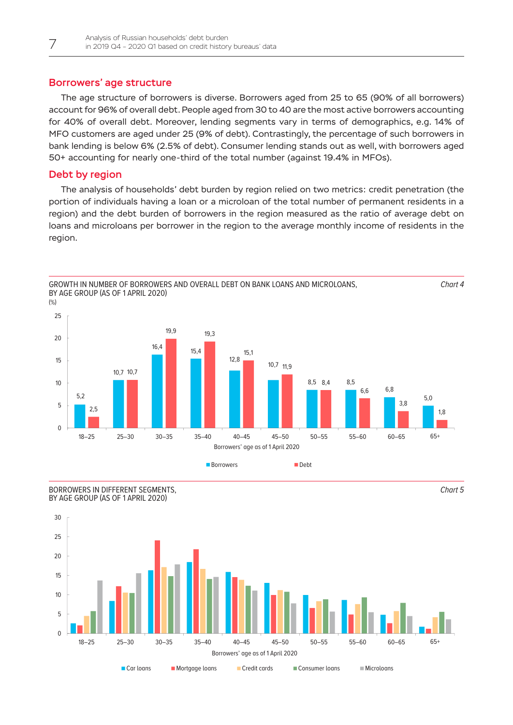### Borrowers' age structure

The age structure of borrowers is diverse. Borrowers aged from 25 to 65 (90% of all borrowers) account for 96% of overall debt. People aged from 30 to 40 are the most active borrowers accounting for 40% of overall debt. Moreover, lending segments vary in terms of demographics, e.g. 14% of MFO customers are aged under 25 (9% of debt). Contrastingly, the percentage of such borrowers in bank lending is below 6% (2.5% of debt). Consumer lending stands out as well, with borrowers aged 50+ accounting for nearly one-third of the total number (against 19.4% in MFOs).

## Debt by region

The analysis of households' debt burden by region relied on two metrics: credit penetration (the portion of individuals having a loan or a microloan of the total number of permanent residents in a region) and the debt burden of borrowers in the region measured as the ratio of average debt on loans and microloans per borrower in the region to the average monthly income of residents in the region.







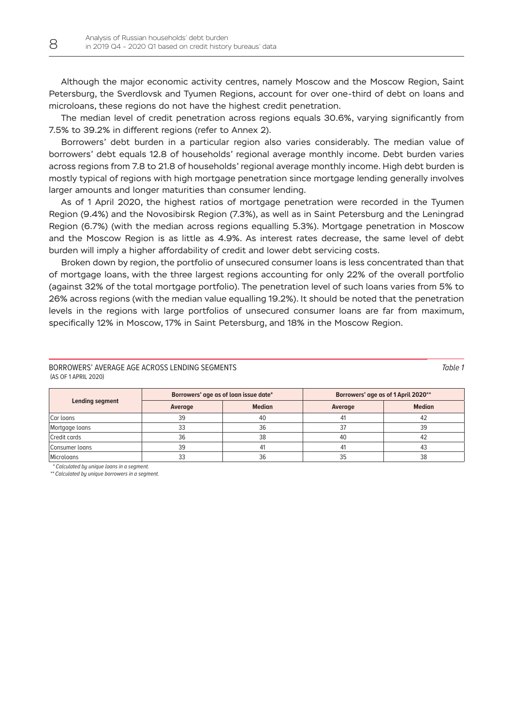Although the major economic activity centres, namely Moscow and the Moscow Region, Saint Petersburg, the Sverdlovsk and Tyumen Regions, account for over one-third of debt on loans and microloans, these regions do not have the highest credit penetration.

The median level of credit penetration across regions equals 30.6%, varying significantly from 7.5% to 39.2% in different regions (refer to Annex 2).

Borrowers' debt burden in a particular region also varies considerably. The median value of borrowers' debt equals 12.8 of households' regional average monthly income. Debt burden varies across regions from 7.8 to 21.8 of households' regional average monthly income. High debt burden is mostly typical of regions with high mortgage penetration since mortgage lending generally involves larger amounts and longer maturities than consumer lending.

As of 1 April 2020, the highest ratios of mortgage penetration were recorded in the Tyumen Region (9.4%) and the Novosibirsk Region (7.3%), as well as in Saint Petersburg and the Leningrad Region (6.7%) (with the median across regions equalling 5.3%). Mortgage penetration in Moscow and the Moscow Region is as little as 4.9%. As interest rates decrease, the same level of debt burden will imply a higher affordability of credit and lower debt servicing costs.

Broken down by region, the portfolio of unsecured consumer loans is less concentrated than that of mortgage loans, with the three largest regions accounting for only 22% of the overall portfolio (against 32% of the total mortgage portfolio). The penetration level of such loans varies from 5% to 26% across regions (with the median value equalling 19.2%). It should be noted that the penetration levels in the regions with large portfolios of unsecured consumer loans are far from maximum, specifically 12% in Moscow, 17% in Saint Petersburg, and 18% in the Moscow Region.

#### BORROWERS' AVERAGE AGE ACROSS LENDING SEGMENTS (AS OF 1 APRIL 2020)

| <b>Lending segment</b> | Borrowers' age as of loan issue date* |               | Borrowers' age as of 1 April 2020** |               |  |
|------------------------|---------------------------------------|---------------|-------------------------------------|---------------|--|
|                        | Average                               | <b>Median</b> | Average                             | <b>Median</b> |  |
| Car loans              | 39                                    | 40            |                                     |               |  |
| Mortgage loans         | 33                                    | 36            |                                     | 39            |  |
| Credit cards           | 36                                    | 38            | 40                                  |               |  |
| Consumer loans         | 39                                    | 41            | 4                                   |               |  |
| <b>Micrologns</b>      | 33                                    | 36            | 35                                  | 38            |  |

*\* Calculated by unique loans in a segment.*

*\*\* Calculated by unique borrowers in a segment.*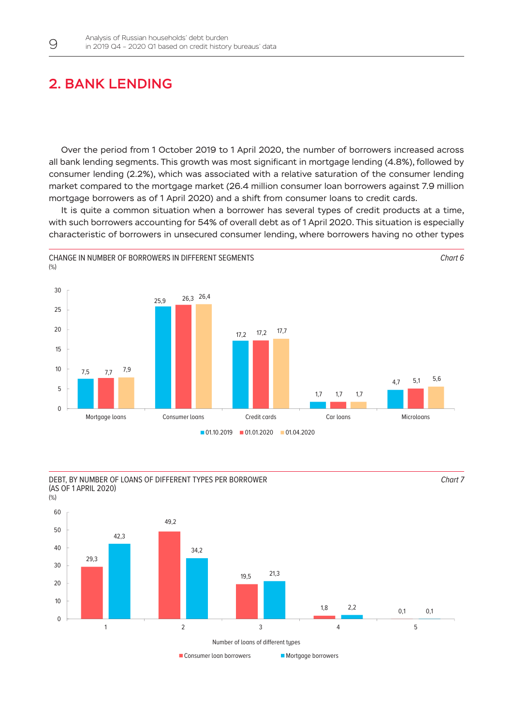## <span id="page-9-0"></span>2. BANK LENDING

Over the period from 1 October 2019 to 1 April 2020, the number of borrowers increased across all bank lending segments. This growth was most significant in mortgage lending (4.8%), followed by consumer lending (2.2%), which was associated with a relative saturation of the consumer lending market compared to the mortgage market (26.4 million consumer loan borrowers against 7.9 million mortgage borrowers as of 1 April 2020) and a shift from consumer loans to credit cards.

It is quite a common situation when a borrower has several types of credit products at a time, with such borrowers accounting for 54% of overall debt as of 1 April 2020. This situation is especially characteristic of borrowers in unsecured consumer lending, where borrowers having no other types



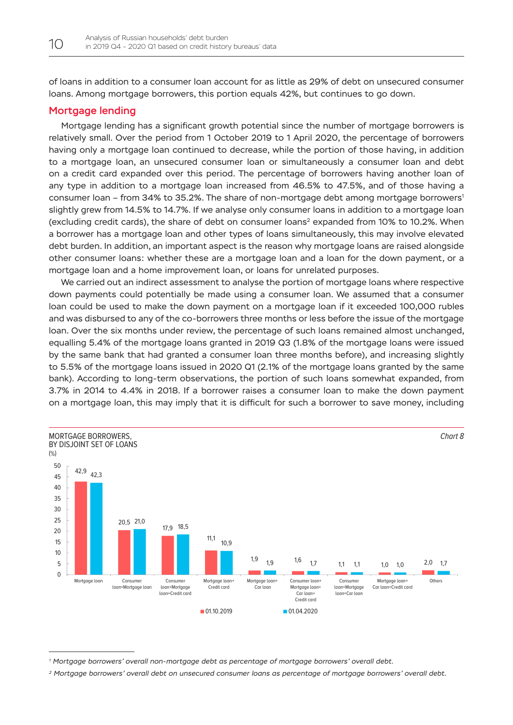of loans in addition to a consumer loan account for as little as 29% of debt on unsecured consumer loans. Among mortgage borrowers, this portion equals 42%, but continues to go down.

### Mortgage lending

Mortgage lending has a significant growth potential since the number of mortgage borrowers is relatively small. Over the period from 1 October 2019 to 1 April 2020, the percentage of borrowers having only a mortgage loan continued to decrease, while the portion of those having, in addition to a mortgage loan, an unsecured consumer loan or simultaneously a consumer loan and debt on a credit card expanded over this period. The percentage of borrowers having another loan of any type in addition to a mortgage loan increased from 46.5% to 47.5%, and of those having a consumer loan – from 34% to 35.2%. The share of non-mortgage debt among mortgage borrowers<sup>1</sup> slightly grew from 14.5% to 14.7%. If we analyse only consumer loans in addition to a mortgage loan (excluding credit cards), the share of debt on consumer loans<sup>2</sup> expanded from 10% to 10.2%. When a borrower has a mortgage loan and other types of loans simultaneously, this may involve elevated debt burden. In addition, an important aspect is the reason why mortgage loans are raised alongside other consumer loans: whether these are a mortgage loan and a loan for the down payment, or a mortgage loan and a home improvement loan, or loans for unrelated purposes.

We carried out an indirect assessment to analyse the portion of mortgage loans where respective down payments could potentially be made using a consumer loan. We assumed that a consumer loan could be used to make the down payment on a mortgage loan if it exceeded 100,000 rubles and was disbursed to any of the co-borrowers three months or less before the issue of the mortgage loan. Over the six months under review, the percentage of such loans remained almost unchanged, equalling 5.4% of the mortgage loans granted in 2019 Q3 (1.8% of the mortgage loans were issued by the same bank that had granted a consumer loan three months before), and increasing slightly to 5.5% of the mortgage loans issued in 2020 Q1 (2.1% of the mortgage loans granted by the same bank). According to long-term observations, the portion of such loans somewhat expanded, from 3.7% in 2014 to 4.4% in 2018. If a borrower raises a consumer loan to make the down payment on a mortgage loan, this may imply that it is difficult for such a borrower to save money, including



*<sup>1</sup> Mortgage borrowers' overall non-mortgage debt as percentage of mortgage borrowers' overall debt.*

*<sup>2</sup> Mortgage borrowers' overall debt on unsecured consumer loans as percentage of mortgage borrowers' overall debt.*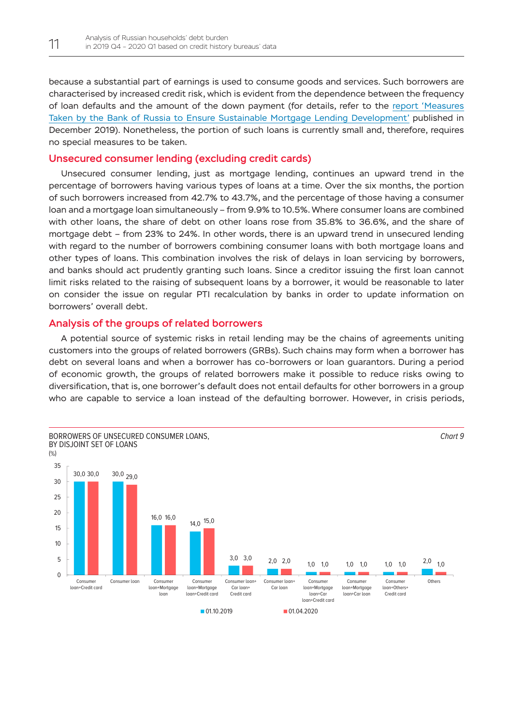because a substantial part of earnings is used to consume goods and services. Such borrowers are characterised by increased credit risk, which is evident from the dependence between the frequency of loan defaults and the amount of the down payment (for details, refer to the [report 'Measures](http://cbr.ru/Content/Document/File/94935/Consultation_Paper_191217.pdf)  [Taken by the Bank of Russia to Ensure Sustainable Mortgage Lending Development'](http://cbr.ru/Content/Document/File/94935/Consultation_Paper_191217.pdf) published in December 2019). Nonetheless, the portion of such loans is currently small and, therefore, requires no special measures to be taken.

### Unsecured consumer lending (excluding credit cards)

Unsecured consumer lending, just as mortgage lending, continues an upward trend in the percentage of borrowers having various types of loans at a time. Over the six months, the portion of such borrowers increased from 42.7% to 43.7%, and the percentage of those having a consumer loan and a mortgage loan simultaneously – from 9.9% to 10.5%. Where consumer loans are combined with other loans, the share of debt on other loans rose from 35.8% to 36.6%, and the share of mortgage debt – from 23% to 24%. In other words, there is an upward trend in unsecured lending with regard to the number of borrowers combining consumer loans with both mortgage loans and other types of loans. This combination involves the risk of delays in loan servicing by borrowers, and banks should act prudently granting such loans. Since a creditor issuing the first loan cannot limit risks related to the raising of subsequent loans by a borrower, it would be reasonable to later on consider the issue on regular PTI recalculation by banks in order to update information on borrowers' overall debt.

### Analysis of the groups of related borrowers

A potential source of systemic risks in retail lending may be the chains of agreements uniting customers into the groups of related borrowers (GRBs). Such chains may form when a borrower has debt on several loans and when a borrower has co-borrowers or loan guarantors. During a period of economic growth, the groups of related borrowers make it possible to reduce risks owing to diversification, that is, one borrower's default does not entail defaults for other borrowers in a group who are capable to service a loan instead of the defaulting borrower. However, in crisis periods,

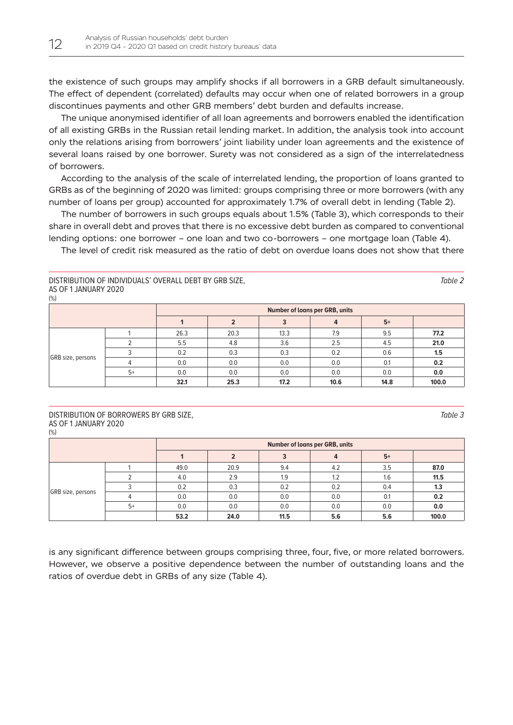the existence of such groups may amplify shocks if all borrowers in a GRB default simultaneously. The effect of dependent (correlated) defaults may occur when one of related borrowers in a group discontinues payments and other GRB members' debt burden and defaults increase.

The unique anonymised identifier of all loan agreements and borrowers enabled the identification of all existing GRBs in the Russian retail lending market. In addition, the analysis took into account only the relations arising from borrowers' joint liability under loan agreements and the existence of several loans raised by one borrower. Surety was not considered as a sign of the interrelatedness of borrowers.

According to the analysis of the scale of interrelated lending, the proportion of loans granted to GRBs as of the beginning of 2020 was limited: groups comprising three or more borrowers (with any number of loans per group) accounted for approximately 1.7% of overall debt in lending (Table 2).

The number of borrowers in such groups equals about 1.5% (Table 3), which corresponds to their share in overall debt and proves that there is no excessive debt burden as compared to conventional lending options: one borrower – one loan and two co-borrowers – one mortgage loan (Table 4).

The level of credit risk measured as the ratio of debt on overdue loans does not show that there

DISTRIBUTION OF INDIVIDUALS' OVERALL DEBT BY GRB SIZE, AS OF 1 JANUARY 2020  $(9/)$ 

|                   |      |      | <b>Number of loans per GRB, units</b> |      |      |      |       |
|-------------------|------|------|---------------------------------------|------|------|------|-------|
|                   |      |      |                                       |      |      | $5+$ |       |
|                   |      | 26.3 | 20.3                                  | 13.3 | 7.9  | 9.5  | 77.2  |
|                   |      | 5.5  | 4.8                                   | 3.6  | 2.5  | 4.5  | 21.0  |
|                   |      | 0.2  | 0.3                                   | 0.3  | 0.2  | 0.6  | 1.5   |
| GRB size, persons |      | 0.0  | 0.0                                   | 0.0  | 0.0  | 0.1  | 0.2   |
|                   | $5+$ | 0.0  | 0.0                                   | 0.0  | 0.0  | 0.0  | 0.0   |
|                   |      | 32.1 | 25.3                                  | 17.2 | 10.6 | 14.8 | 100.0 |

#### DISTRIBUTION OF BORROWERS BY GRB SIZE, AS OF 1 JANUARY 2020 (%)

|                   |      | <b>Number of loans per GRB, units</b> |      |      |     |      |       |
|-------------------|------|---------------------------------------|------|------|-----|------|-------|
|                   |      |                                       |      |      |     | $5+$ |       |
| GRB size, persons |      | 49.0                                  | 20.9 | 9.4  | 4.2 | 3.5  | 87.0  |
|                   |      | 4.0                                   | 2.9  | 1.9  | 1.2 | 1.6  | 11.5  |
|                   |      | 0.2                                   | 0.3  | 0.2  | 0.2 | 0.4  | 1.3   |
|                   |      | 0.0                                   | 0.0  | 0.0  | 0.0 | 0.1  | 0.2   |
|                   | $5+$ | 0.0                                   | 0.0  | 0.0  | 0.0 | 0.0  | 0.0   |
|                   |      | 53.2                                  | 24.0 | 11.5 | 5.6 | 5.6  | 100.0 |

is any significant difference between groups comprising three, four, five, or more related borrowers. However, we observe a positive dependence between the number of outstanding loans and the ratios of overdue debt in GRBs of any size (Table 4).

*Table 3*

*Table 2*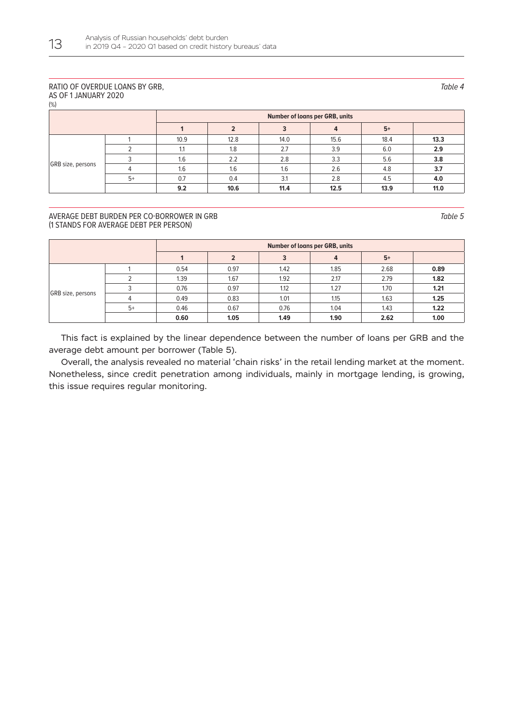#### RATIO OF OVERDUE LOANS BY GRB, AS OF 1 JANUARY 2020

(%)

|                   |      |      | <b>Number of loans per GRB, units</b> |      |      |      |      |
|-------------------|------|------|---------------------------------------|------|------|------|------|
|                   |      |      |                                       |      |      | $5+$ |      |
| GRB size, persons |      | 10.9 | 12.8                                  | 14.0 | 15.6 | 18.4 | 13.3 |
|                   |      |      | 1.8                                   | 2.7  | 3.9  | 6.0  | 2.9  |
|                   |      | 1.6  | 2.2                                   | 2.8  | 3.3  | 5.6  | 3.8  |
|                   |      | 1.6  | 1.6                                   | 1.6  | 2.6  | 4.8  | 3.7  |
|                   | $5+$ | 0.7  | 0.4                                   | 3.1  | 2.8  | 4.5  | 4.0  |
|                   |      | 9.2  | 10.6                                  | 11.4 | 12.5 | 13.9 | 11.0 |

#### AVERAGE DEBT BURDEN PER CO-BORROWER IN GRB (1 STANDS FOR AVERAGE DEBT PER PERSON)

|                   |      | <b>Number of loans per GRB, units</b> |      |      |      |      |      |
|-------------------|------|---------------------------------------|------|------|------|------|------|
|                   |      |                                       |      | 3    | 4    | $5+$ |      |
| GRB size, persons |      | 0.54                                  | 0.97 | 1.42 | 1.85 | 2.68 | 0.89 |
|                   |      | 1.39                                  | 1.67 | 1.92 | 2.17 | 2.79 | 1.82 |
|                   |      | 0.76                                  | 0.97 | 1.12 | 1.27 | 1.70 | 1.21 |
|                   |      | 0.49                                  | 0.83 | 1.01 | 1.15 | 1.63 | 1.25 |
|                   | $5+$ | 0.46                                  | 0.67 | 0.76 | 1.04 | 1.43 | 1.22 |
|                   |      | 0.60                                  | 1.05 | 1.49 | 1.90 | 2.62 | 1.00 |

This fact is explained by the linear dependence between the number of loans per GRB and the average debt amount per borrower (Table 5).

Overall, the analysis revealed no material 'chain risks' in the retail lending market at the moment. Nonetheless, since credit penetration among individuals, mainly in mortgage lending, is growing, this issue requires regular monitoring.

*Table 4*

*Table 5*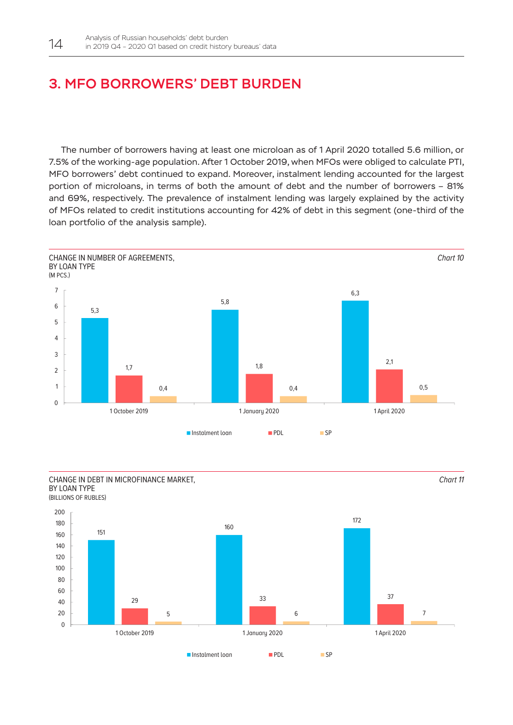## <span id="page-14-0"></span>3. MFO BORROWERS' DEBT BURDEN

The number of borrowers having at least one microloan as of 1 April 2020 totalled 5.6 million, or 7.5% of the working-age population. After 1 October 2019, when MFOs were obliged to calculate PTI, MFO borrowers' debt continued to expand. Moreover, instalment lending accounted for the largest portion of microloans, in terms of both the amount of debt and the number of borrowers – 81% and 69%, respectively. The prevalence of instalment lending was largely explained by the activity of MFOs related to credit institutions accounting for 42% of debt in this segment (one-third of the loan portfolio of the analysis sample).



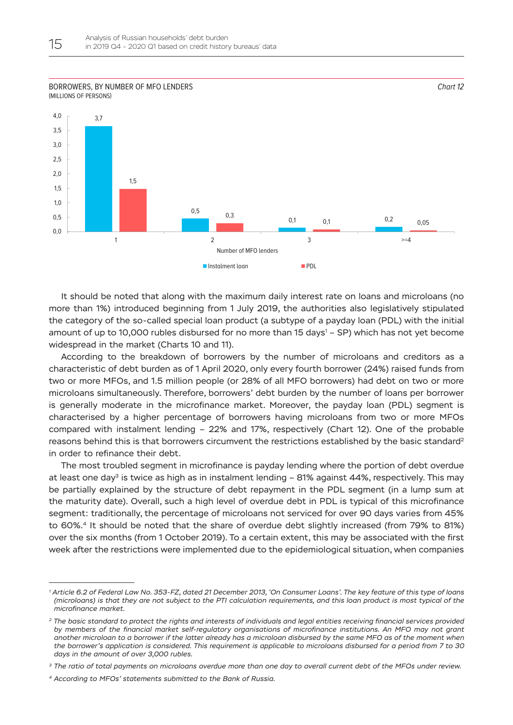#### BORROWERS, BY NUMBER OF MFO LENDERS (MILLIONS OF PERSONS)



It should be noted that along with the maximum daily interest rate on loans and microloans (no more than 1%) introduced beginning from 1 July 2019, the authorities also legislatively stipulated the category of the so-called special loan product (a subtype of a payday loan (PDL) with the initial amount of up to 10,000 rubles disbursed for no more than 15 days' – SP) which has not yet become widespread in the market (Charts 10 and 11).

According to the breakdown of borrowers by the number of microloans and creditors as a characteristic of debt burden as of 1 April 2020, only every fourth borrower (24%) raised funds from two or more MFOs, and 1.5 million people (or 28% of all MFO borrowers) had debt on two or more microloans simultaneously. Therefore, borrowers' debt burden by the number of loans per borrower is generally moderate in the microfinance market. Moreover, the payday loan (PDL) segment is characterised by a higher percentage of borrowers having microloans from two or more MFOs compared with instalment lending – 22% and 17%, respectively (Chart 12). One of the probable reasons behind this is that borrowers circumvent the restrictions established by the basic standard<sup>2</sup> in order to refinance their debt.

The most troubled segment in microfinance is payday lending where the portion of debt overdue at least one day<sup>3</sup> is twice as high as in instalment lending - 81% against 44%, respectively. This may be partially explained by the structure of debt repayment in the PDL segment (in a lump sum at the maturity date). Overall, such a high level of overdue debt in PDL is typical of this microfinance segment: traditionally, the percentage of microloans not serviced for over 90 days varies from 45% to 60%.4 It should be noted that the share of overdue debt slightly increased (from 79% to 81%) over the six months (from 1 October 2019). To a certain extent, this may be associated with the first week after the restrictions were implemented due to the epidemiological situation, when companies

*<sup>1</sup> Article 6.2 of Federal Law No. 353-FZ, dated 21 December 2013, 'On Consumer Loans'. The key feature of this type of loans (microloans) is that they are not subject to the PTI calculation requirements, and this loan product is most typical of the microfinance market.* 

*<sup>2</sup> The basic standard to protect the rights and interests of individuals and legal entities receiving financial services provided by members of the financial market self-regulatory organisations of microfinance institutions. An MFO may not grant another microloan to a borrower if the latter already has a microloan disbursed by the same MFO as of the moment when the borrower's application is considered. This requirement is applicable to microloans disbursed for a period from 7 to 30 days in the amount of over 3,000 rubles.*

*<sup>3</sup> The ratio of total payments on microloans overdue more than one day to overall current debt of the MFOs under review.*

*<sup>4</sup> According to MFOs' statements submitted to the Bank of Russia.*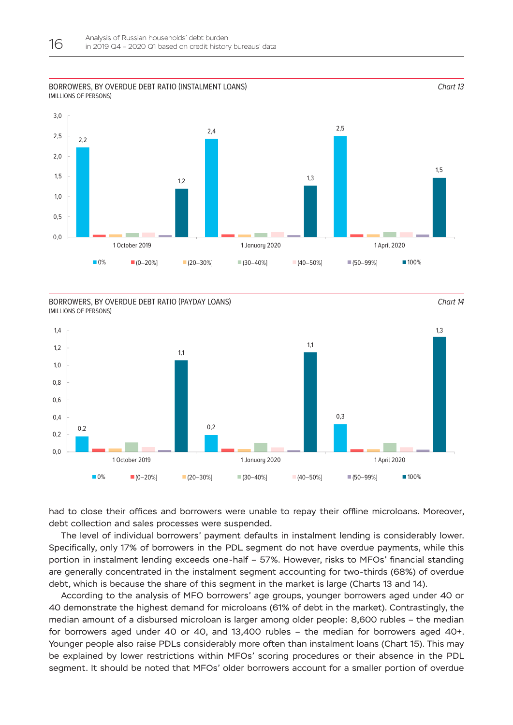#### BORROWERS, BY OVERDUE DEBT RATIO (INSTALMENT LOANS) (MILLIONS OF PERSONS)



*Chart 13*

*Chart 14*

BORROWERS, BY OVERDUE DEBT RATIO (PAYDAY LOANS) (MILLIONS OF PERSONS)



had to close their offices and borrowers were unable to repay their offline microloans. Moreover, debt collection and sales processes were suspended.

The level of individual borrowers' payment defaults in instalment lending is considerably lower. Specifically, only 17% of borrowers in the PDL segment do not have overdue payments, while this portion in instalment lending exceeds one-half – 57%. However, risks to MFOs' financial standing are generally concentrated in the instalment segment accounting for two-thirds (68%) of overdue debt, which is because the share of this segment in the market is large (Charts 13 and 14).

According to the analysis of MFO borrowers' age groups, younger borrowers aged under 40 or 40 demonstrate the highest demand for microloans (61% of debt in the market). Contrastingly, the median amount of a disbursed microloan is larger among older people: 8,600 rubles – the median for borrowers aged under 40 or 40, and 13,400 rubles – the median for borrowers aged 40+. Younger people also raise PDLs considerably more often than instalment loans (Chart 15). This may be explained by lower restrictions within MFOs' scoring procedures or their absence in the PDL segment. It should be noted that MFOs' older borrowers account for a smaller portion of overdue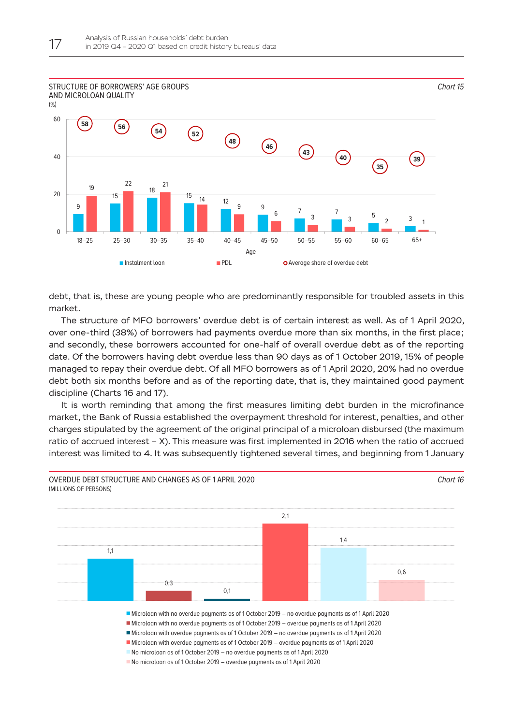

debt, that is, these are young people who are predominantly responsible for troubled assets in this market.

The structure of MFO borrowers' overdue debt is of certain interest as well. As of 1 April 2020, over one-third (38%) of borrowers had payments overdue more than six months, in the first place; and secondly, these borrowers accounted for one-half of overall overdue debt as of the reporting date. Of the borrowers having debt overdue less than 90 days as of 1 October 2019, 15% of people managed to repay their overdue debt. Of all MFO borrowers as of 1 April 2020, 20% had no overdue debt both six months before and as of the reporting date, that is, they maintained good payment discipline (Charts 16 and 17).

It is worth reminding that among the first measures limiting debt burden in the microfinance market, the Bank of Russia established the overpayment threshold for interest, penalties, and other charges stipulated by the agreement of the original principal of a microloan disbursed (the maximum ratio of accrued interest – X). This measure was first implemented in 2016 when the ratio of accrued interest was limited to 4. It was subsequently tightened several times, and beginning from 1 January

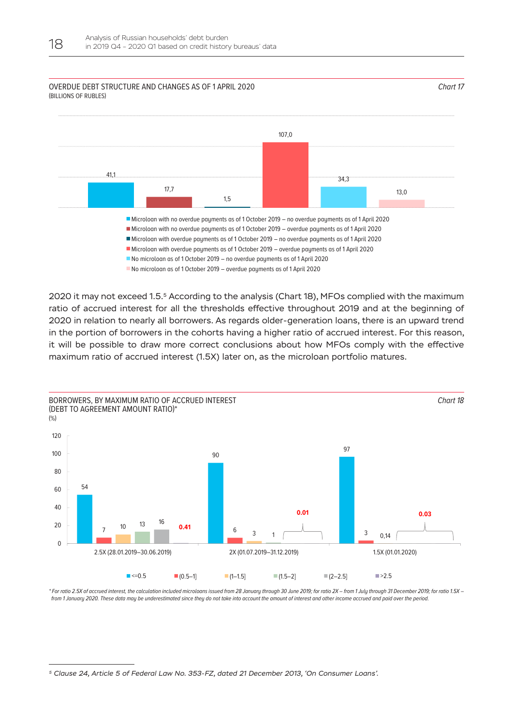## 41,1 17,7 1,5 107,0 34,3 13,0 Microloan with no overdue payments as of 1 October 2019 – no overdue payments as of 1 April 2020 Microloan with no overdue payments as of 1 October 2019 – overdue payments as of 1 April 2020 Microloan with overdue payments as of 1 October 2019 – no overdue payments as of 1 April 2020 Microloan with overdue payments as of 1 October 2019 – overdue payments as of 1 April 2020 ■ No microloan as of 1 October 2019 – no overdue payments as of 1 April 2020 No microloan as of 1 October 2019 – overdue payments as of 1 April 2020 OVERDUE DEBT STRUCTURE AND CHANGES AS OF 1 APRIL 2020 (BILLIONS OF RUBLES) *Chart 17*

2020 it may not exceed 1.5.5 According to the analysis (Chart 18), MFOs complied with the maximum ratio of accrued interest for all the thresholds effective throughout 2019 and at the beginning of 2020 in relation to nearly all borrowers. As regards older-generation loans, there is an upward trend in the portion of borrowers in the cohorts having a higher ratio of accrued interest. For this reason, it will be possible to draw more correct conclusions about how MFOs comply with the effective maximum ratio of accrued interest (1.5X) later on, as the microloan portfolio matures.



\* For ratio 2.5Х of accrued interest, the calculation included microloans issued from 28 January through 30 June 2019; for ratio 2Х – from 1 July through 31 December 2019; for ratio 1.5X – from 1 January 2020. These data may be underestimated since they do not take into account the amount of interest and other income accrued and paid over the period.

*5 Clause 24, Article 5 of Federal Law No. 353-FZ, dated 21 December 2013, 'On Consumer Loans'.*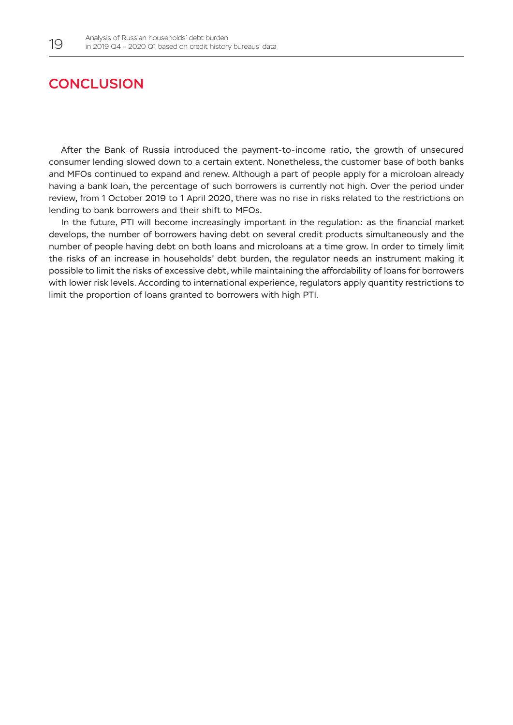## <span id="page-19-0"></span>**CONCLUSION**

After the Bank of Russia introduced the payment-to-income ratio, the growth of unsecured consumer lending slowed down to a certain extent. Nonetheless, the customer base of both banks and MFOs continued to expand and renew. Although a part of people apply for a microloan already having a bank loan, the percentage of such borrowers is currently not high. Over the period under review, from 1 October 2019 to 1 April 2020, there was no rise in risks related to the restrictions on lending to bank borrowers and their shift to MFOs.

In the future, PTI will become increasingly important in the regulation: as the financial market develops, the number of borrowers having debt on several credit products simultaneously and the number of people having debt on both loans and microloans at a time grow. In order to timely limit the risks of an increase in households' debt burden, the regulator needs an instrument making it possible to limit the risks of excessive debt, while maintaining the affordability of loans for borrowers with lower risk levels. According to international experience, regulators apply quantity restrictions to limit the proportion of loans granted to borrowers with high PTI.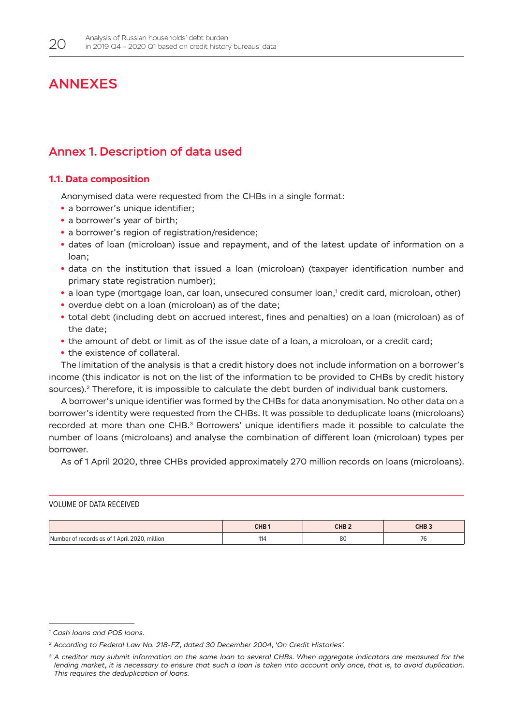## <span id="page-20-0"></span>ANNEXES

## Annex 1. Description of data used

## **1.1. Data composition**

Anonymised data were requested from the CHBs in a single format:

- a borrower's unique identifier;
- a borrower's year of birth;
- a borrower's region of registration/residence;
- **•**  dates of loan (microloan) issue and repayment, and of the latest update of information on a loan;
- **•**  data on the institution that issued a loan (microloan) (taxpayer identification number and primary state registration number);
- a loan type (mortgage loan, car loan, unsecured consumer loan,<sup>1</sup> credit card, microloan, other)
- overdue debt on a loan (microloan) as of the date;
- **•**  total debt (including debt on accrued interest, fines and penalties) on a loan (microloan) as of the date;
- **•**  the amount of debt or limit as of the issue date of a loan, a microloan, or a credit card;
- the existence of collateral.

The limitation of the analysis is that a credit history does not include information on a borrower's income (this indicator is not on the list of the information to be provided to CHBs by credit history sources).<sup>2</sup> Therefore, it is impossible to calculate the debt burden of individual bank customers.

A borrower's unique identifier was formed by the CHBs for data anonymisation. No other data on a borrower's identity were requested from the CHBs. It was possible to deduplicate loans (microloans) recorded at more than one CHB.<sup>3</sup> Borrowers' unique identifiers made it possible to calculate the number of loans (microloans) and analyse the combination of different loan (microloan) types per borrower.

As of 1 April 2020, three CHBs provided approximately 270 million records on loans (microloans).

### VOLUME OF DATA RECEIVED

|                                                    | CHB ' | CHB <sub>2</sub> | CID<br><b>UND 3</b> |
|----------------------------------------------------|-------|------------------|---------------------|
| r of records as of 1 April 2020, million<br>Number | 114   | O(<br>οu         | $\sim$              |

*<sup>1</sup> Cash loans and POS loans.*

*<sup>2</sup> According to Federal Law No. 218-FZ, dated 30 December 2004, 'On Credit Histories'.*

*<sup>3</sup> A creditor may submit information on the same loan to several CHBs. When aggregate indicators are measured for the*  lending market, it is necessary to ensure that such a loan is taken into account only once, that is, to avoid duplication. *This requires the deduplication of loans.*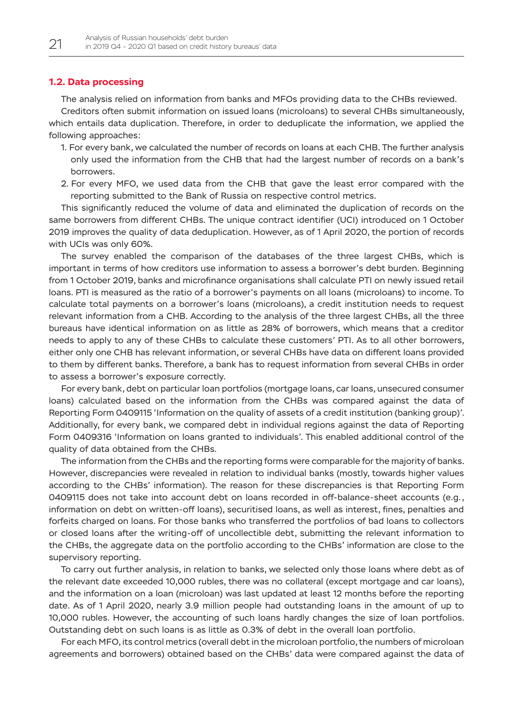### <span id="page-21-0"></span>**1.2. Data processing**

The analysis relied on information from banks and MFOs providing data to the CHBs reviewed. Creditors often submit information on issued loans (microloans) to several CHBs simultaneously, which entails data duplication. Therefore, in order to deduplicate the information, we applied the following approaches:

- 1. For every bank, we calculated the number of records on loans at each CHB. The further analysis only used the information from the CHB that had the largest number of records on a bank's borrowers.
- 2. For every MFO, we used data from the CHB that gave the least error compared with the reporting submitted to the Bank of Russia on respective control metrics.

This significantly reduced the volume of data and eliminated the duplication of records on the same borrowers from different CHBs. The unique contract identifier (UCI) introduced on 1 October 2019 improves the quality of data deduplication. However, as of 1 April 2020, the portion of records with UCIs was only 60%.

The survey enabled the comparison of the databases of the three largest CHBs, which is important in terms of how creditors use information to assess a borrower's debt burden. Beginning from 1 October 2019, banks and microfinance organisations shall calculate PTI on newly issued retail loans. PTI is measured as the ratio of a borrower's payments on all loans (microloans) to income. To calculate total payments on a borrower's loans (microloans), a credit institution needs to request relevant information from a CHB. According to the analysis of the three largest CHBs, all the three bureaus have identical information on as little as 28% of borrowers, which means that a creditor needs to apply to any of these CHBs to calculate these customers' PTI. As to all other borrowers, either only one CHB has relevant information, or several CHBs have data on different loans provided to them by different banks. Therefore, a bank has to request information from several CHBs in order to assess a borrower's exposure correctly.

For every bank, debt on particular loan portfolios (mortgage loans, car loans, unsecured consumer loans) calculated based on the information from the CHBs was compared against the data of Reporting Form 0409115 'Information on the quality of assets of a credit institution (banking group)'. Additionally, for every bank, we compared debt in individual regions against the data of Reporting Form 0409316 'Information on loans granted to individuals'. This enabled additional control of the quality of data obtained from the CHBs.

The information from the CHBs and the reporting forms were comparable for the majority of banks. However, discrepancies were revealed in relation to individual banks (mostly, towards higher values according to the CHBs' information). The reason for these discrepancies is that Reporting Form 0409115 does not take into account debt on loans recorded in off-balance-sheet accounts (e.g., information on debt on written-off loans), securitised loans, as well as interest, fines, penalties and forfeits charged on loans. For those banks who transferred the portfolios of bad loans to collectors or closed loans after the writing-off of uncollectible debt, submitting the relevant information to the CHBs, the aggregate data on the portfolio according to the CHBs' information are close to the supervisory reporting.

To carry out further analysis, in relation to banks, we selected only those loans where debt as of the relevant date exceeded 10,000 rubles, there was no collateral (except mortgage and car loans), and the information on a loan (microloan) was last updated at least 12 months before the reporting date. As of 1 April 2020, nearly 3.9 million people had outstanding loans in the amount of up to 10,000 rubles. However, the accounting of such loans hardly changes the size of loan portfolios. Outstanding debt on such loans is as little as 0.3% of debt in the overall loan portfolio.

For each MFO, its control metrics (overall debt in the microloan portfolio, the numbers of microloan agreements and borrowers) obtained based on the CHBs' data were compared against the data of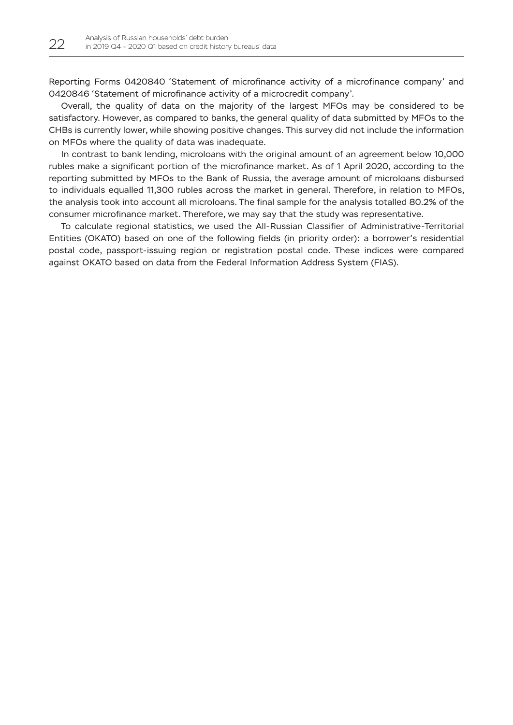Reporting Forms 0420840 'Statement of microfinance activity of a microfinance company' and 0420846 'Statement of microfinance activity of a microcredit company'.

Overall, the quality of data on the majority of the largest MFOs may be considered to be satisfactory. However, as compared to banks, the general quality of data submitted by MFOs to the CHBs is currently lower, while showing positive changes. This survey did not include the information on MFOs where the quality of data was inadequate.

In contrast to bank lending, microloans with the original amount of an agreement below 10,000 rubles make a significant portion of the microfinance market. As of 1 April 2020, according to the reporting submitted by MFOs to the Bank of Russia, the average amount of microloans disbursed to individuals equalled 11,300 rubles across the market in general. Therefore, in relation to MFOs, the analysis took into account all microloans. The final sample for the analysis totalled 80.2% of the consumer microfinance market. Therefore, we may say that the study was representative.

To calculate regional statistics, we used the All-Russian Classifier of Administrative-Territorial Entities (OKATO) based on one of the following fields (in priority order): a borrower's residential postal code, passport-issuing region or registration postal code. These indices were compared against OKATO based on data from the Federal Information Address System (FIAS).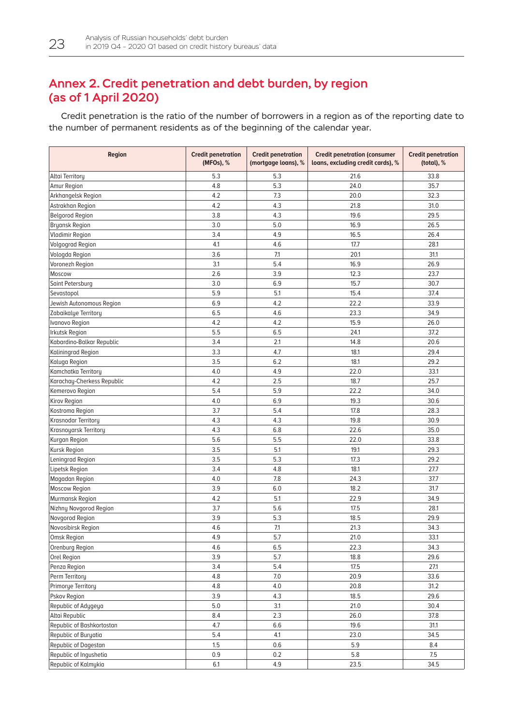## <span id="page-23-0"></span>Annex 2. Credit penetration and debt burden, by region (as of 1 April 2020)

Credit penetration is the ratio of the number of borrowers in a region as of the reporting date to the number of permanent residents as of the beginning of the calendar year.

| <b>Region</b>              | <b>Credit penetration</b><br>(MFOs), % | <b>Credit penetration</b><br>(mortgage loans), % | <b>Credit penetration (consumer</b><br>loans, excluding credit cards), % | <b>Credit penetration</b><br>(total), % |
|----------------------------|----------------------------------------|--------------------------------------------------|--------------------------------------------------------------------------|-----------------------------------------|
| Altai Territory            | 5.3                                    | 5.3                                              | 21.6                                                                     | 33.8                                    |
| Amur Region                | 4.8                                    | 5.3                                              | 24.0                                                                     | 35.7                                    |
| Arkhangelsk Region         | 4.2                                    | 7.3                                              | 20.0                                                                     | 32.3                                    |
| Astrakhan Region           | 4.2                                    | 4.3                                              | 21.8                                                                     | 31.0                                    |
| <b>Belgorod Region</b>     | 3.8                                    | 4.3                                              | 19.6                                                                     | 29.5                                    |
| <b>Bryansk Region</b>      | 3.0                                    | 5.0                                              | 16.9                                                                     | 26.5                                    |
| <b>Vladimir Region</b>     | 3.4                                    | 4.9                                              | 16.5                                                                     | 26.4                                    |
| <b>Volgograd Region</b>    | 4.1                                    | 4.6                                              | 17.7                                                                     | 28.1                                    |
| Vologda Region             | 3.6                                    | 7.1                                              | 20.1                                                                     | 31.1                                    |
| Voronezh Region            | 3.1                                    | 5.4                                              | 16.9                                                                     | 26.9                                    |
| Moscow                     | 2.6                                    | 3.9                                              | 12.3                                                                     | 23.7                                    |
| Saint Petersburg           | 3.0                                    | 6.9                                              | 15.7                                                                     | 30.7                                    |
| Sevastopol                 | 5.9                                    | 5.1                                              | 15.4                                                                     | 37.4                                    |
| Jewish Autonomous Region   | 6.9                                    | 4.2                                              | 22.2                                                                     | 33.9                                    |
| Zabaikalye Territory       | 6.5                                    | 4.6                                              | 23.3                                                                     | 34.9                                    |
| Ivanovo Region             | 4.2                                    | 4.2                                              | 15.9                                                                     | 26.0                                    |
| <b>Irkutsk Region</b>      | 5.5                                    | 6.5                                              | 24.1                                                                     | 37.2                                    |
| Kabardino-Balkar Republic  | 3.4                                    | 2.1                                              | 14.8                                                                     | 20.6                                    |
| Kaliningrad Region         | 3.3                                    | 4.7                                              | 18.1                                                                     | 29.4                                    |
| Kaluga Region              | 3.5                                    | 6.2                                              | 18.1                                                                     | 29.2                                    |
| Kamchatka Territory        | 4.0                                    | 4.9                                              | 22.0                                                                     | 33.1                                    |
| Karachay-Cherkess Republic | 4.2                                    | 2.5                                              | 18.7                                                                     | 25.7                                    |
| Kemerovo Region            | 5.4                                    | 5.9                                              | 22.2                                                                     | 34.0                                    |
| Kirov Region               | 4.0                                    | 6.9                                              | 19.3                                                                     | 30.6                                    |
| Kostroma Region            | 3.7                                    | 5.4                                              | 17.8                                                                     | 28.3                                    |
| Krasnodar Territory        | 4.3                                    | 4.3                                              | 19.8                                                                     | 30.9                                    |
| Krasnoyarsk Territory      | 4.3                                    | 6.8                                              | 22.6                                                                     | 35.0                                    |
| Kurgan Region              | 5.6                                    | 5.5                                              | 22.0                                                                     | 33.8                                    |
| Kursk Region               | 3.5                                    | 5.1                                              | 19.1                                                                     | 29.3                                    |
| Leningrad Region           | 3.5                                    | 5.3                                              | 17.3                                                                     | 29.2                                    |
| Lipetsk Region             | 3.4                                    | 4.8                                              | 18.1                                                                     | 27.7                                    |
| Magadan Region             | 4.0                                    | 7.8                                              | 24.3                                                                     | 37.7                                    |
| <b>Moscow Region</b>       | 3.9                                    | 6.0                                              | 18.2                                                                     | 31.7                                    |
| Murmansk Region            | 4.2                                    | 5.1                                              | 22.9                                                                     | 34.9                                    |
| Nizhny Novgorod Region     | 3.7                                    | 5.6                                              | 17.5                                                                     | 28.1                                    |
| Novgorod Region            | 3.9                                    | 5.3                                              | 18.5                                                                     | 29.9                                    |
| Novosibirsk Region         | 4.6                                    | 7.1                                              | 21.3                                                                     | 34.3                                    |
| Omsk Region                | 4.9                                    | 5.7                                              | 21.0                                                                     | 33.1                                    |
| Orenburg Region            | 4.6                                    | 6.5                                              | 22.3                                                                     | 34.3                                    |
| Orel Region                | 3.9                                    | 5.7                                              | 18.8                                                                     | 29.6                                    |
| Penza Region               | 3.4                                    | 5.4                                              | 17.5                                                                     | 27.1                                    |
| Perm Territory             | 4.8                                    | $7.0\,$                                          | 20.9                                                                     | 33.6                                    |
| Primorye Territory         | 4.8                                    | 4.0                                              | 20.8                                                                     | 31.2                                    |
| Pskov Region               | 3.9                                    | 4.3                                              | 18.5                                                                     | 29.6                                    |
| Republic of Adygeya        | 5.0                                    | 3.1                                              | 21.0                                                                     | 30.4                                    |
| Altai Republic             | 8.4                                    | 2.3                                              | 26.0                                                                     | 37.8                                    |
| Republic of Bashkortostan  | 4.7                                    | 6.6                                              | 19.6                                                                     | 31.1                                    |
| Republic of Buryatia       | 5.4                                    | 4.1                                              | 23.0                                                                     | 34.5                                    |
| Republic of Dagestan       | 1.5                                    | 0.6                                              | 5.9                                                                      | 8.4                                     |
| Republic of Ingushetia     | 0.9                                    | $0.2\,$                                          | 5.8                                                                      | 7.5                                     |
| Republic of Kalmykia       | 6.1                                    | 4.9                                              | 23.5                                                                     | 34.5                                    |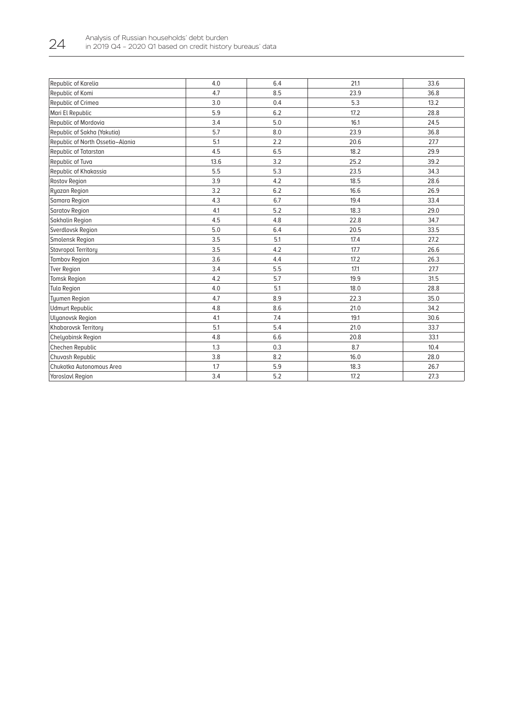| 6.4<br>33.6<br>4.0<br>21.1<br>8.5<br>23.9<br>4.7<br>36.8<br>0.4<br>3.0<br>5.3<br>13.2<br>6.2<br>17.2<br>5.9<br>28.8<br>16.1<br>Republic of Mordovia<br>3.4<br>5.0<br>24.5<br>5.7<br>8.0<br>23.9<br>36.8<br>Republic of North Ossetia-Alania<br>5.1<br>2.2<br>20.6<br>27.7<br>6.5<br>18.2<br>4.5<br>29.9<br>3.2<br>13.6<br>25.2<br>39.2<br>5.3<br>5.5<br>23.5<br>34.3<br>Republic of Khakassia<br>3.9<br>4.2<br>18.5<br>28.6<br>3.2<br>6.2<br>16.6<br>26.9<br>Samara Region<br>4.3<br>6.7<br>19.4<br>33.4<br>5.2<br>4.1<br>18.3<br>29.0<br>Saratov Region<br>4.8<br>4.5<br>Sakhalin Region<br>22.8<br>34.7<br>6.4<br>5.0<br>20.5<br>33.5<br>5.1<br>3.5<br>17.4<br>27.2<br>4.2<br>Stavropol Territory<br>3.5<br>17.7<br>26.6<br>3.6<br>17.2<br>26.3<br><b>Tambov Region</b><br>4.4<br>3.4<br>5.5<br>17.1<br><b>Tver Region</b><br>27.7<br>4.2<br>5.7<br>19.9<br>31.5<br><b>Tomsk Region</b><br><b>Tula Region</b><br>4.0<br>5.1<br>18.0<br>28.8<br>8.9<br><b>Tyumen Region</b><br>4.7<br>22.3<br>35.0<br>8.6<br>21.0<br><b>Udmurt Republic</b><br>4.8<br>34.2<br>4.1<br>7.4<br>19.1<br><b>Ulyanovsk Region</b><br>30.6<br>5.4<br>5.1<br>21.0<br>33.7<br>6.6<br>33.1<br>4.8<br>20.8<br>0.3<br>1.3<br>8.7<br>10.4<br>8.2<br>3.8<br>16.0<br>28.0<br>5.9<br>1.7<br>18.3<br>26.7<br>3.4<br>5.2<br>17.2<br>27.3 |                             |  |  |
|---------------------------------------------------------------------------------------------------------------------------------------------------------------------------------------------------------------------------------------------------------------------------------------------------------------------------------------------------------------------------------------------------------------------------------------------------------------------------------------------------------------------------------------------------------------------------------------------------------------------------------------------------------------------------------------------------------------------------------------------------------------------------------------------------------------------------------------------------------------------------------------------------------------------------------------------------------------------------------------------------------------------------------------------------------------------------------------------------------------------------------------------------------------------------------------------------------------------------------------------------------------------------------------------------------|-----------------------------|--|--|
|                                                                                                                                                                                                                                                                                                                                                                                                                                                                                                                                                                                                                                                                                                                                                                                                                                                                                                                                                                                                                                                                                                                                                                                                                                                                                                         | Republic of Karelia         |  |  |
|                                                                                                                                                                                                                                                                                                                                                                                                                                                                                                                                                                                                                                                                                                                                                                                                                                                                                                                                                                                                                                                                                                                                                                                                                                                                                                         | Republic of Komi            |  |  |
|                                                                                                                                                                                                                                                                                                                                                                                                                                                                                                                                                                                                                                                                                                                                                                                                                                                                                                                                                                                                                                                                                                                                                                                                                                                                                                         | Republic of Crimea          |  |  |
|                                                                                                                                                                                                                                                                                                                                                                                                                                                                                                                                                                                                                                                                                                                                                                                                                                                                                                                                                                                                                                                                                                                                                                                                                                                                                                         | Mari El Republic            |  |  |
|                                                                                                                                                                                                                                                                                                                                                                                                                                                                                                                                                                                                                                                                                                                                                                                                                                                                                                                                                                                                                                                                                                                                                                                                                                                                                                         |                             |  |  |
|                                                                                                                                                                                                                                                                                                                                                                                                                                                                                                                                                                                                                                                                                                                                                                                                                                                                                                                                                                                                                                                                                                                                                                                                                                                                                                         | Republic of Sakha (Yakutia) |  |  |
|                                                                                                                                                                                                                                                                                                                                                                                                                                                                                                                                                                                                                                                                                                                                                                                                                                                                                                                                                                                                                                                                                                                                                                                                                                                                                                         |                             |  |  |
|                                                                                                                                                                                                                                                                                                                                                                                                                                                                                                                                                                                                                                                                                                                                                                                                                                                                                                                                                                                                                                                                                                                                                                                                                                                                                                         | Republic of Tatarstan       |  |  |
|                                                                                                                                                                                                                                                                                                                                                                                                                                                                                                                                                                                                                                                                                                                                                                                                                                                                                                                                                                                                                                                                                                                                                                                                                                                                                                         | Republic of Tuva            |  |  |
|                                                                                                                                                                                                                                                                                                                                                                                                                                                                                                                                                                                                                                                                                                                                                                                                                                                                                                                                                                                                                                                                                                                                                                                                                                                                                                         |                             |  |  |
|                                                                                                                                                                                                                                                                                                                                                                                                                                                                                                                                                                                                                                                                                                                                                                                                                                                                                                                                                                                                                                                                                                                                                                                                                                                                                                         | <b>Rostov Region</b>        |  |  |
|                                                                                                                                                                                                                                                                                                                                                                                                                                                                                                                                                                                                                                                                                                                                                                                                                                                                                                                                                                                                                                                                                                                                                                                                                                                                                                         | Ryazan Region               |  |  |
|                                                                                                                                                                                                                                                                                                                                                                                                                                                                                                                                                                                                                                                                                                                                                                                                                                                                                                                                                                                                                                                                                                                                                                                                                                                                                                         |                             |  |  |
|                                                                                                                                                                                                                                                                                                                                                                                                                                                                                                                                                                                                                                                                                                                                                                                                                                                                                                                                                                                                                                                                                                                                                                                                                                                                                                         |                             |  |  |
|                                                                                                                                                                                                                                                                                                                                                                                                                                                                                                                                                                                                                                                                                                                                                                                                                                                                                                                                                                                                                                                                                                                                                                                                                                                                                                         |                             |  |  |
|                                                                                                                                                                                                                                                                                                                                                                                                                                                                                                                                                                                                                                                                                                                                                                                                                                                                                                                                                                                                                                                                                                                                                                                                                                                                                                         | Sverdlovsk Region           |  |  |
|                                                                                                                                                                                                                                                                                                                                                                                                                                                                                                                                                                                                                                                                                                                                                                                                                                                                                                                                                                                                                                                                                                                                                                                                                                                                                                         | Smolensk Region             |  |  |
|                                                                                                                                                                                                                                                                                                                                                                                                                                                                                                                                                                                                                                                                                                                                                                                                                                                                                                                                                                                                                                                                                                                                                                                                                                                                                                         |                             |  |  |
|                                                                                                                                                                                                                                                                                                                                                                                                                                                                                                                                                                                                                                                                                                                                                                                                                                                                                                                                                                                                                                                                                                                                                                                                                                                                                                         |                             |  |  |
|                                                                                                                                                                                                                                                                                                                                                                                                                                                                                                                                                                                                                                                                                                                                                                                                                                                                                                                                                                                                                                                                                                                                                                                                                                                                                                         |                             |  |  |
|                                                                                                                                                                                                                                                                                                                                                                                                                                                                                                                                                                                                                                                                                                                                                                                                                                                                                                                                                                                                                                                                                                                                                                                                                                                                                                         |                             |  |  |
|                                                                                                                                                                                                                                                                                                                                                                                                                                                                                                                                                                                                                                                                                                                                                                                                                                                                                                                                                                                                                                                                                                                                                                                                                                                                                                         |                             |  |  |
|                                                                                                                                                                                                                                                                                                                                                                                                                                                                                                                                                                                                                                                                                                                                                                                                                                                                                                                                                                                                                                                                                                                                                                                                                                                                                                         |                             |  |  |
|                                                                                                                                                                                                                                                                                                                                                                                                                                                                                                                                                                                                                                                                                                                                                                                                                                                                                                                                                                                                                                                                                                                                                                                                                                                                                                         |                             |  |  |
|                                                                                                                                                                                                                                                                                                                                                                                                                                                                                                                                                                                                                                                                                                                                                                                                                                                                                                                                                                                                                                                                                                                                                                                                                                                                                                         |                             |  |  |
|                                                                                                                                                                                                                                                                                                                                                                                                                                                                                                                                                                                                                                                                                                                                                                                                                                                                                                                                                                                                                                                                                                                                                                                                                                                                                                         | Khabarovsk Territory        |  |  |
|                                                                                                                                                                                                                                                                                                                                                                                                                                                                                                                                                                                                                                                                                                                                                                                                                                                                                                                                                                                                                                                                                                                                                                                                                                                                                                         | <b>Chelyabinsk Region</b>   |  |  |
|                                                                                                                                                                                                                                                                                                                                                                                                                                                                                                                                                                                                                                                                                                                                                                                                                                                                                                                                                                                                                                                                                                                                                                                                                                                                                                         | Chechen Republic            |  |  |
|                                                                                                                                                                                                                                                                                                                                                                                                                                                                                                                                                                                                                                                                                                                                                                                                                                                                                                                                                                                                                                                                                                                                                                                                                                                                                                         | Chuvash Republic            |  |  |
|                                                                                                                                                                                                                                                                                                                                                                                                                                                                                                                                                                                                                                                                                                                                                                                                                                                                                                                                                                                                                                                                                                                                                                                                                                                                                                         | Chukotka Autonomous Area    |  |  |
|                                                                                                                                                                                                                                                                                                                                                                                                                                                                                                                                                                                                                                                                                                                                                                                                                                                                                                                                                                                                                                                                                                                                                                                                                                                                                                         | <b>Yaroslavl Region</b>     |  |  |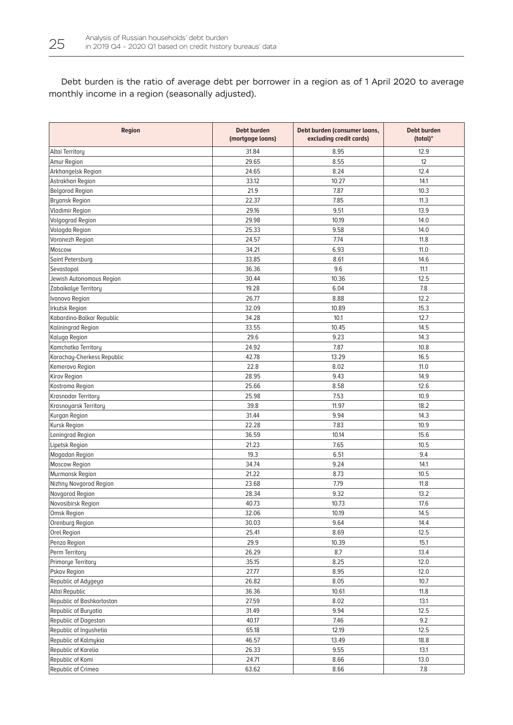Debt burden is the ratio of average debt per borrower in a region as of 1 April 2020 to average monthly income in a region (seasonally adjusted).

| Region                     | <b>Debt burden</b><br>(mortgage loans) | Debt burden (consumer loans,<br>excluding credit cards) | Debt burden<br>(total)* |  |
|----------------------------|----------------------------------------|---------------------------------------------------------|-------------------------|--|
| Altai Territory            | 31.84                                  | 8.95                                                    | 12.9                    |  |
| Amur Region                | 29.65                                  | 8.55                                                    | 12                      |  |
| Arkhangelsk Region         | 24.65                                  | 8.24                                                    | 12.4                    |  |
| Astrakhan Region           | 33.12                                  | 10.27                                                   | 14.1                    |  |
| <b>Belgorod Region</b>     | 21.9                                   | 7.87                                                    | 10.3                    |  |
| <b>Bryansk Region</b>      | 22.37                                  | 7.85                                                    | 11.3                    |  |
| <b>Vladimir Region</b>     | 29.16                                  | 9.51                                                    | 13.9                    |  |
| <b>Volgograd Region</b>    | 29.98                                  | 10.19                                                   | 14.0                    |  |
| Vologda Region             | 25.33                                  | 9.58                                                    | 14.0                    |  |
| Voronezh Region            | 24.57                                  | 7.74                                                    | 11.8                    |  |
| Moscow                     | 34.21                                  | 6.93                                                    | 11.0                    |  |
| Saint Petersburg           | 33.85                                  | 8.61                                                    | 14.6                    |  |
| Sevastopol                 | 36.36                                  | 9.6                                                     | 11.1                    |  |
| Jewish Autonomous Region   | 30.44                                  | 10.36                                                   | 12.5                    |  |
| Zabaikalye Territory       | 19.28                                  | 6.04                                                    | 7.8                     |  |
| Ivanovo Region             | 26.77                                  | 8.88                                                    | 12.2                    |  |
| Irkutsk Region             | 32.09                                  | 10.89                                                   | 15.3                    |  |
| Kabardino-Balkar Republic  | 34.28                                  | 10.1                                                    | 12.7                    |  |
| Kaliningrad Region         | 33.55                                  | 10.45                                                   | 14.5                    |  |
| Kaluga Region              | 29.6                                   | 9.23                                                    | 14.3                    |  |
| Kamchatka Territory        | 24.92                                  | 7.87                                                    | 10.8                    |  |
| Karachay-Cherkess Republic | 42.78                                  | 13.29                                                   | 16.5                    |  |
| Kemerovo Region            | 22.8                                   | 8.02                                                    | 11.0                    |  |
| Kirov Region               | 28.95                                  | 9.43                                                    | 14.9                    |  |
| Kostroma Region            | 25.66                                  | 8.58                                                    | 12.6                    |  |
| Krasnodar Territory        | 25.98                                  | 7.53                                                    | 10.9                    |  |
| Krasnoyarsk Territory      | 39.8                                   | 11.97                                                   | 18.2                    |  |
| Kurgan Region              | 31.44                                  | 9.94                                                    | 14.3                    |  |
| Kursk Region               | 22.28                                  | 7.83                                                    | 10.9                    |  |
| Leningrad Region           | 36.59                                  | 10.14                                                   | 15.6                    |  |
| Lipetsk Region             | 21.23                                  | 7.65                                                    | 10.5                    |  |
| Magadan Region             | 19.3                                   | 6.51                                                    | 9.4                     |  |
| <b>Moscow Region</b>       | 34.74                                  | 9.24                                                    | 14.1                    |  |
| Murmansk Region            | 21.22                                  | 8.73                                                    | 10.5                    |  |
| Nizhny Novgorod Region     | 23.68                                  | 7.79                                                    | 11.8                    |  |
| Novgorod Region            | 28.34                                  | 9.32                                                    | 13.2                    |  |
| Novosibirsk Region         | 40.73                                  | 10.73                                                   | 17.6                    |  |
| Omsk Region                | 32.06                                  | 10.19                                                   | 14.5                    |  |
| Orenburg Region            | 30.03                                  | 9.64                                                    | 14.4                    |  |
| Orel Region                | 25.41                                  | 8.69                                                    | 12.5                    |  |
| Penza Region               | 29.9                                   | 10.39                                                   | 15.1                    |  |
| Perm Territory             | 26.29                                  | 8.7                                                     | 13.4                    |  |
| Primorye Territory         | 35.15                                  | 8.25                                                    | 12.0                    |  |
| Pskov Region               | 27.77                                  | 8.95                                                    | 12.0                    |  |
| Republic of Adygeya        | 26.82                                  | 8.05                                                    | 10.7                    |  |
| Altai Republic             | 36.36                                  | 10.61                                                   | 11.8                    |  |
| Republic of Bashkortostan  | 27.59                                  | 8.02                                                    | 13.1                    |  |
| Republic of Buryatia       | 31.49                                  | 9.94                                                    | 12.5                    |  |
| Republic of Dagestan       | 40.17                                  | 7.46                                                    | 9.2                     |  |
| Republic of Ingushetia     | 65.18                                  | 12.19                                                   | 12.5                    |  |
| Republic of Kalmykia       | 46.57                                  | 13.49                                                   | 18.8                    |  |
| Republic of Karelia        | 26.33                                  | 9.55                                                    | 13.1                    |  |
| Republic of Komi           | 24.71                                  | 8.66                                                    | 13.0                    |  |
| Republic of Crimea         | 63.62                                  | 8.66                                                    | $7.8\,$                 |  |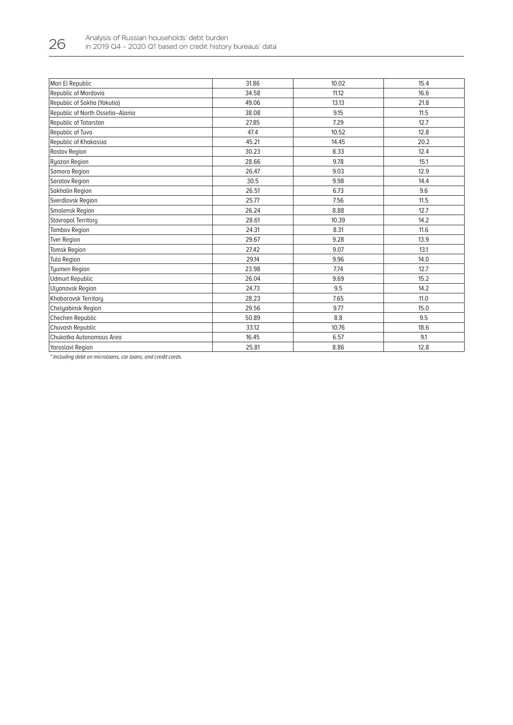| Mari El Republic                 | 31.86 | 10.02 | 15.4 |
|----------------------------------|-------|-------|------|
| Republic of Mordovia             | 34.58 | 11.12 | 16.6 |
| Republic of Sakha (Yakutia)      | 49.06 | 13.13 | 21.8 |
| Republic of North Ossetia-Alania | 38.08 | 9.15  | 11.5 |
| Republic of Tatarstan            | 27.85 | 7.29  | 12.7 |
| Republic of Tuva                 | 47.4  | 10.52 | 12.8 |
| Republic of Khakassia            | 45.21 | 14.45 | 20.2 |
| Rostov Region                    | 30.23 | 8.33  | 12.4 |
| Ryazan Region                    | 28.66 | 9.78  | 15.1 |
| Samara Region                    | 26.47 | 9.03  | 12.9 |
| Saratov Region                   | 30.5  | 9.98  | 14.4 |
| Sakhalin Region                  | 26.51 | 6.73  | 9.6  |
| Sverdlovsk Region                | 25.77 | 7.56  | 11.5 |
| Smolensk Region                  | 26.24 | 8.88  | 12.7 |
| Stavropol Territory              | 28.61 | 10.39 | 14.2 |
| <b>Tambov Region</b>             | 24.31 | 8.31  | 11.6 |
| <b>Tver Region</b>               | 29.67 | 9.28  | 13.9 |
| Tomsk Region                     | 27.42 | 9.07  | 13.1 |
| Tula Region                      | 29.14 | 9.96  | 14.0 |
| <b>Tyumen Region</b>             | 23.98 | 7.74  | 12.7 |
| <b>Udmurt Republic</b>           | 26.04 | 9.69  | 15.2 |
| <b>Ulyanovsk Region</b>          | 24.73 | 9.5   | 14.2 |
| Khabarovsk Territory             | 28.23 | 7.65  | 11.0 |
| Chelyabinsk Region               | 29.56 | 9.77  | 15.0 |
| Chechen Republic                 | 50.89 | 8.8   | 9.5  |
| Chuvash Republic                 | 33.12 | 10.76 | 18.6 |
| Chukotka Autonomous Area         | 16.45 | 6.57  | 9.1  |
| <b>Yaroslavl Region</b>          | 25.81 | 8.86  | 12.8 |
|                                  |       |       |      |

\* Including debt on microloans, car loans, and credit cards.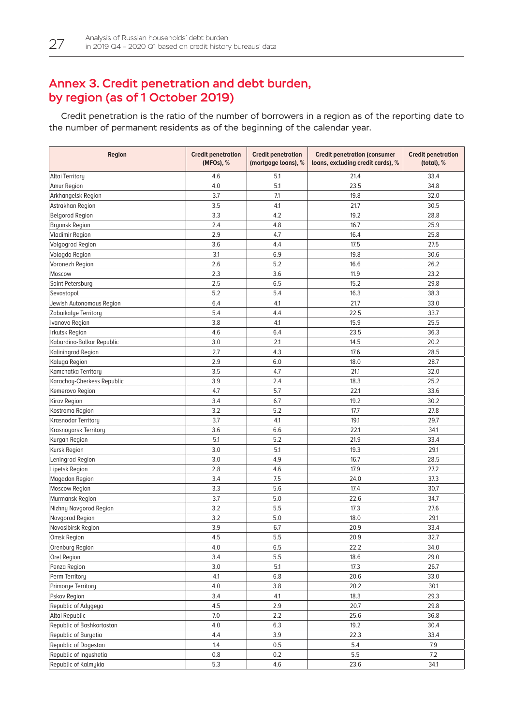## <span id="page-27-0"></span>Annex 3. Credit penetration and debt burden, by region (as of 1 October 2019)

Credit penetration is the ratio of the number of borrowers in a region as of the reporting date to the number of permanent residents as of the beginning of the calendar year.

| <b>Region</b>              | <b>Credit penetration</b><br>(MFOs), % | <b>Credit penetration</b><br>(mortgage loans), % | <b>Credit penetration (consumer</b><br>loans, excluding credit cards), % | <b>Credit penetration</b><br>(total), % |
|----------------------------|----------------------------------------|--------------------------------------------------|--------------------------------------------------------------------------|-----------------------------------------|
| Altai Territory            | 4.6                                    | 5.1                                              | 21.4                                                                     | 33.4                                    |
| Amur Region                | 4.0                                    | 5.1                                              | 23.5                                                                     | 34.8                                    |
| Arkhangelsk Region         | 3.7                                    | 7.1                                              | 19.8                                                                     | 32.0                                    |
| Astrakhan Region           | 3.5                                    | 4.1                                              | 21.7                                                                     | 30.5                                    |
| <b>Belgorod Region</b>     | 3.3                                    | 4.2                                              | 19.2                                                                     | 28.8                                    |
| <b>Bryansk Region</b>      | 2.4                                    | 4.8                                              | 16.7                                                                     | 25.9                                    |
| <b>Vladimir Region</b>     | 2.9                                    | 4.7                                              | 16.4                                                                     | 25.8                                    |
| <b>Volgograd Region</b>    | 3.6                                    | 4.4                                              | 17.5                                                                     | 27.5                                    |
| Vologda Region             | 3.1                                    | 6.9                                              | 19.8                                                                     | 30.6                                    |
| Voronezh Region            | 2.6                                    | 5.2                                              | 16.6                                                                     | 26.2                                    |
| Moscow                     | 2.3                                    | 3.6                                              | 11.9                                                                     | 23.2                                    |
| Saint Petersburg           | 2.5                                    | 6.5                                              | 15.2                                                                     | 29.8                                    |
| Sevastopol                 | 5.2                                    | 5.4                                              | 16.3                                                                     | 38.3                                    |
| Jewish Autonomous Region   | 6.4                                    | 4.1                                              | 21.7                                                                     | 33.0                                    |
| Zabaikalye Territory       | 5.4                                    | 4.4                                              | 22.5                                                                     | 33.7                                    |
| Ivanovo Region             | 3.8                                    | 4.1                                              | 15.9                                                                     | 25.5                                    |
| <b>Irkutsk Region</b>      | 4.6                                    | 6.4                                              | 23.5                                                                     | 36.3                                    |
| Kabardino-Balkar Republic  | 3.0                                    | 2.1                                              | 14.5                                                                     | 20.2                                    |
| Kaliningrad Region         | 2.7                                    | 4.3                                              | 17.6                                                                     | 28.5                                    |
| Kaluga Region              | 2.9                                    | 6.0                                              | 18.0                                                                     | 28.7                                    |
| Kamchatka Territory        | 3.5                                    | 4.7                                              | 21.1                                                                     | 32.0                                    |
| Karachay-Cherkess Republic | 3.9                                    | 2.4                                              | 18.3                                                                     | 25.2                                    |
| Kemerovo Region            | 4.7                                    | 5.7                                              | 22.1                                                                     | 33.6                                    |
| Kirov Region               | 3.4                                    | 6.7                                              | 19.2                                                                     | 30.2                                    |
| Kostroma Region            | 3.2                                    | 5.2                                              | 17.7                                                                     | 27.8                                    |
| Krasnodar Territory        | 3.7                                    | 4.1                                              | 19.1                                                                     | 29.7                                    |
| Krasnoyarsk Territory      | 3.6                                    | 6.6                                              | 22.1                                                                     | 34.1                                    |
| Kurgan Region              | 5.1                                    | 5.2                                              | 21.9                                                                     | 33.4                                    |
| Kursk Region               | 3.0                                    | 5.1                                              | 19.3                                                                     | 29.1                                    |
| Leningrad Region           | 3.0                                    | 4.9                                              | 16.7                                                                     | 28.5                                    |
| Lipetsk Region             | 2.8                                    | 4.6                                              | 17.9                                                                     | 27.2                                    |
| Magadan Region             | 3.4                                    | 7.5                                              | 24.0                                                                     | 37.3                                    |
| <b>Moscow Region</b>       | 3.3                                    | 5.6                                              | 17.4                                                                     | 30.7                                    |
| Murmansk Region            | 3.7                                    | 5.0                                              | 22.6                                                                     | 34.7                                    |
| Nizhny Novgorod Region     | 3.2                                    | 5.5                                              | 17.3                                                                     | 27.6                                    |
| Novgorod Region            | 3.2                                    | 5.0                                              | 18.0                                                                     | 29.1                                    |
| Novosibirsk Region         | 3.9                                    | 6.7                                              | 20.9                                                                     | 33.4                                    |
| Omsk Region                | 4.5                                    | 5.5                                              | 20.9                                                                     | 32.7                                    |
| Orenburg Region            | 4.0                                    | 6.5                                              | 22.2                                                                     | 34.0                                    |
| Orel Region                | 3.4                                    | 5.5                                              | 18.6                                                                     | 29.0                                    |
| Penza Region               | 3.0                                    | 5.1                                              | 17.3                                                                     | 26.7                                    |
| Perm Territory             | 4.1                                    | 6.8                                              | 20.6                                                                     | 33.0                                    |
| Primorye Territory         | 4.0                                    | 3.8                                              | 20.2                                                                     | 30.1                                    |
| Pskov Region               | 3.4                                    | 4.1                                              | 18.3                                                                     | 29.3                                    |
| Republic of Adygeya        | 4.5                                    | 2.9                                              | 20.7                                                                     | 29.8                                    |
| Altai Republic             | 7.0                                    | 2.2                                              | 25.6                                                                     | 36.8                                    |
| Republic of Bashkortostan  | 4.0                                    | 6.3                                              | 19.2                                                                     | 30.4                                    |
| Republic of Buryatia       | 4.4                                    | 3.9                                              | 22.3                                                                     | 33.4                                    |
| Republic of Dagestan       | 1.4                                    | 0.5                                              | 5.4                                                                      | 7.9                                     |
| Republic of Ingushetia     | 0.8                                    | 0.2                                              | 5.5                                                                      | 7.2                                     |
| Republic of Kalmykia       | 5.3                                    | 4.6                                              | 23.6                                                                     | 34.1                                    |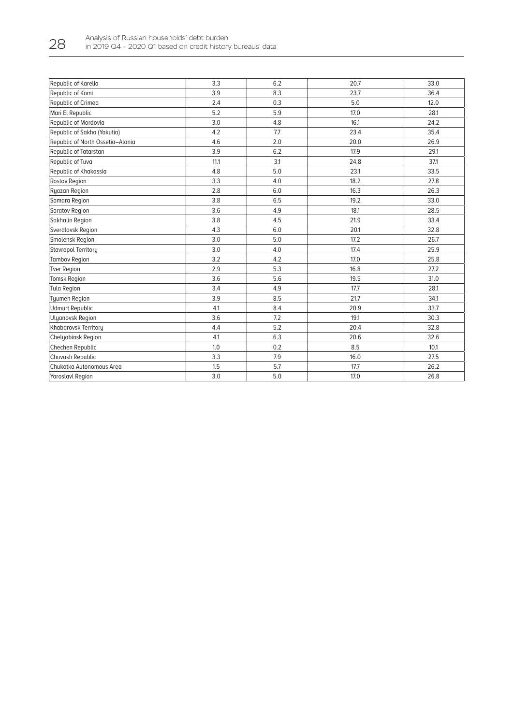| Republic of Karelia              | 3.3  | 6.2 | 20.7 | 33.0 |
|----------------------------------|------|-----|------|------|
| Republic of Komi                 | 3.9  | 8.3 | 23.7 | 36.4 |
| Republic of Crimea               | 2.4  | 0.3 | 5.0  | 12.0 |
| Mari El Republic                 | 5.2  | 5.9 | 17.0 | 28.1 |
| Republic of Mordovia             | 3.0  | 4.8 | 16.1 | 24.2 |
| Republic of Sakha (Yakutia)      | 4.2  | 7.7 | 23.4 | 35.4 |
| Republic of North Ossetia-Alania | 4.6  | 2.0 | 20.0 | 26.9 |
| Republic of Tatarstan            | 3.9  | 6.2 | 17.9 | 29.1 |
| Republic of Tuva                 | 11.1 | 3.1 | 24.8 | 37.1 |
| Republic of Khakassia            | 4.8  | 5.0 | 23.1 | 33.5 |
| Rostov Region                    | 3.3  | 4.0 | 18.2 | 27.8 |
| Ryazan Region                    | 2.8  | 6.0 | 16.3 | 26.3 |
| Samara Region                    | 3.8  | 6.5 | 19.2 | 33.0 |
| <b>Saratov Region</b>            | 3.6  | 4.9 | 18.1 | 28.5 |
| Sakhalin Region                  | 3.8  | 4.5 | 21.9 | 33.4 |
| Sverdlovsk Region                | 4.3  | 6.0 | 20.1 | 32.8 |
| Smolensk Region                  | 3.0  | 5.0 | 17.2 | 26.7 |
| Stavropol Territory              | 3.0  | 4.0 | 17.4 | 25.9 |
| <b>Tambov Region</b>             | 3.2  | 4.2 | 17.0 | 25.8 |
| Tver Region                      | 2.9  | 5.3 | 16.8 | 27.2 |
| <b>Tomsk Region</b>              | 3.6  | 5.6 | 19.5 | 31.0 |
| <b>Tula Region</b>               | 3.4  | 4.9 | 17.7 | 28.1 |
| <b>Tyumen Region</b>             | 3.9  | 8.5 | 21.7 | 34.1 |
| <b>Udmurt Republic</b>           | 4.1  | 8.4 | 20.9 | 33.7 |
| Ulyanovsk Region                 | 3.6  | 7.2 | 19.1 | 30.3 |
| Khabarovsk Territory             | 4.4  | 5.2 | 20.4 | 32.8 |
| <b>Chelyabinsk Region</b>        | 4.1  | 6.3 | 20.6 | 32.6 |
| Chechen Republic                 | 1.0  | 0.2 | 8.5  | 10.1 |
| Chuvash Republic                 | 3.3  | 7.9 | 16.0 | 27.5 |
| Chukotka Autonomous Area         | 1.5  | 5.7 | 17.7 | 26.2 |
| <b>Yaroslavl Region</b>          | 3.0  | 5.0 | 17.0 | 26.8 |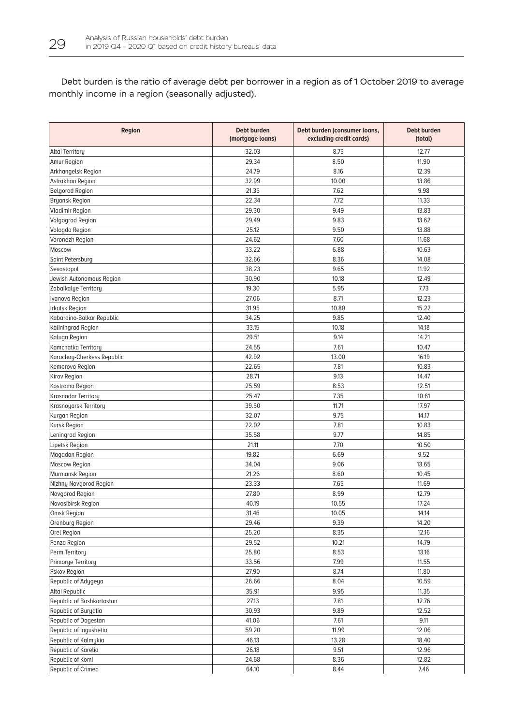Debt burden is the ratio of average debt per borrower in a region as of 1 October 2019 to average monthly income in a region (seasonally adjusted).

| Region                     | Debt burden<br>(mortgage loans) | Debt burden (consumer loans,<br>excluding credit cards) | <b>Debt burden</b><br>(total) |
|----------------------------|---------------------------------|---------------------------------------------------------|-------------------------------|
| Altai Territory            | 32.03                           | 8.73                                                    | 12.77                         |
| Amur Region                | 29.34                           | 8.50                                                    | 11.90                         |
| Arkhangelsk Region         | 24.79                           | 8.16                                                    | 12.39                         |
| Astrakhan Region           | 32.99                           | 10.00                                                   | 13.86                         |
| <b>Belgorod Region</b>     | 21.35                           | 7.62                                                    | 9.98                          |
| <b>Bryansk Region</b>      | 22.34                           | 7.72                                                    | 11.33                         |
| Vladimir Region            | 29.30                           | 9.49                                                    | 13.83                         |
| <b>Volgograd Region</b>    | 29.49                           | 9.83                                                    | 13.62                         |
| Vologda Region             | 25.12                           | 9.50                                                    | 13.88                         |
| Voronezh Region            | 24.62                           | 7.60                                                    | 11.68                         |
| Moscow                     | 33.22                           | 6.88                                                    | 10.63                         |
| Saint Petersburg           | 32.66                           | 8.36                                                    | 14.08                         |
| Sevastopol                 | 38.23                           | 9.65                                                    | 11.92                         |
| Jewish Autonomous Region   | 30.90                           | 10.18                                                   | 12.49                         |
| Zabaikalye Territory       | 19.30                           | 5.95                                                    | 7.73                          |
| Ivanovo Region             | 27.06                           | 8.71                                                    | 12.23                         |
| Irkutsk Region             | 31.95                           | 10.80                                                   | 15.22                         |
| Kabardino-Balkar Republic  | 34.25                           | 9.85                                                    | 12.40                         |
| Kaliningrad Region         | 33.15                           | 10.18                                                   | 14.18                         |
| Kaluga Region              | 29.51                           | 9.14                                                    | 14.21                         |
| Kamchatka Territory        | 24.55                           | 7.61                                                    | 10.47                         |
| Karachay-Cherkess Republic | 42.92                           | 13.00                                                   | 16.19                         |
| Kemerovo Region            | 22.65                           | 7.81                                                    | 10.83                         |
| Kirov Region               | 28.71                           | 9.13                                                    | 14.47                         |
| Kostroma Region            | 25.59                           | 8.53                                                    | 12.51                         |
| Krasnodar Territory        | 25.47                           | 7.35                                                    | 10.61                         |
| Krasnoyarsk Territory      | 39.50                           | 11,71                                                   | 17.97                         |
| Kurgan Region              | 32.07                           | 9.75                                                    | 14.17                         |
| Kursk Region               | 22.02                           | 7.81                                                    | 10.83                         |
| Leningrad Region           | 35.58                           | 9.77                                                    | 14.85                         |
| Lipetsk Region             | 21.11                           | 7.70                                                    | 10.50                         |
| Magadan Region             | 19.82                           | 6.69                                                    | 9.52                          |
| <b>Moscow Region</b>       | 34.04                           | 9.06                                                    | 13.65                         |
| Murmansk Region            | 21.26                           | 8.60                                                    | 10.45                         |
| Nizhny Novgorod Region     | 23.33                           | 7.65                                                    | 11.69                         |
| Novgorod Region            | 27.80                           | 8.99                                                    | 12.79                         |
| Novosibirsk Region         | 40.19                           | 10.55                                                   | 17.24                         |
| Omsk Region                | 31.46                           | 10.05                                                   | 14.14                         |
| Orenburg Region            | 29.46                           | 9.39                                                    | 14.20                         |
| Orel Region                | 25.20                           | 8.35                                                    | 12.16                         |
| Penza Region               | 29.52                           | 10.21                                                   | 14.79                         |
| Perm Territory             | 25.80                           | 8.53                                                    | 13.16                         |
| Primorye Territory         | 33.56                           | 7.99                                                    | 11.55                         |
| Pskov Region               | 27.90                           | 8.74                                                    | 11.80                         |
| Republic of Adygeya        | 26.66                           | 8.04                                                    | 10.59                         |
| Altai Republic             | 35.91                           | 9.95                                                    | 11.35                         |
| Republic of Bashkortostan  | 27.13                           | 7.81                                                    | 12.76                         |
| Republic of Buryatia       | 30.93                           | 9.89                                                    | 12.52                         |
| Republic of Dagestan       | 41.06                           | 7.61                                                    | 9.11                          |
| Republic of Ingushetia     | 59.20                           | 11.99                                                   | 12.06                         |
| Republic of Kalmykia       | 46.13                           | 13.28                                                   | 18.40                         |
| Republic of Karelia        | 26.18                           | 9.51                                                    | 12.96                         |
| Republic of Komi           | 24.68                           | 8.36                                                    | 12.82                         |
| Republic of Crimea         | 64.10                           | 8.44                                                    | 7.46                          |